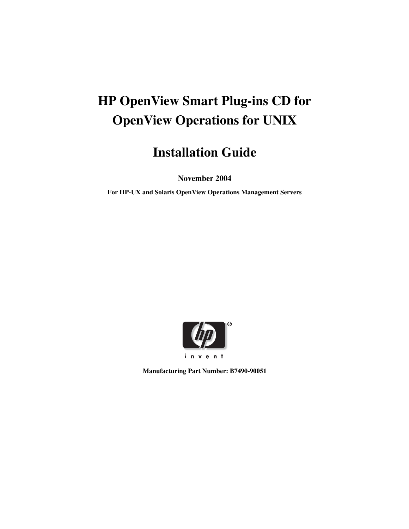# **HP OpenView Smart Plug-ins CD for OpenView Operations for UNIX**

# **Installation Guide**

**November 2004**

**For HP-UX and Solaris OpenView Operations Management Servers**



**Manufacturing Part Number: B7490-90051**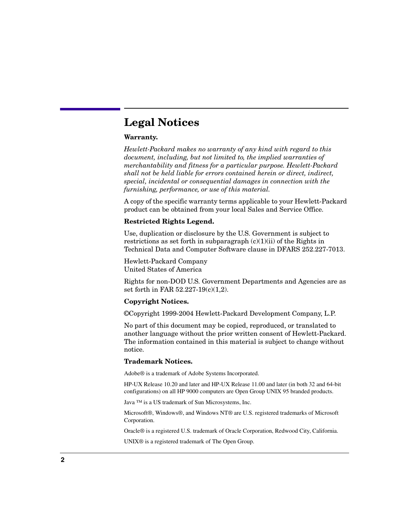# **Legal Notices**

### **Warranty.**

*Hewlett-Packard makes no warranty of any kind with regard to this document, including, but not limited to, the implied warranties of merchantability and fitness for a particular purpose. Hewlett-Packard shall not be held liable for errors contained herein or direct, indirect, special, incidental or consequential damages in connection with the furnishing, performance, or use of this material.*

A copy of the specific warranty terms applicable to your Hewlett-Packard product can be obtained from your local Sales and Service Office.

### **Restricted Rights Legend.**

Use, duplication or disclosure by the U.S. Government is subject to restrictions as set forth in subparagraph  $(c)(1)(ii)$  of the Rights in Technical Data and Computer Software clause in DFARS 252.227-7013.

Hewlett-Packard Company United States of America

Rights for non-DOD U.S. Government Departments and Agencies are as set forth in FAR 52.227-19(c)(1,2).

### **Copyright Notices.**

©Copyright 1999-2004 Hewlett-Packard Development Company, L.P.

No part of this document may be copied, reproduced, or translated to another language without the prior written consent of Hewlett-Packard. The information contained in this material is subject to change without notice.

### **Trademark Notices.**

Adobe® is a trademark of Adobe Systems Incorporated.

HP-UX Release 10.20 and later and HP-UX Release 11.00 and later (in both 32 and 64-bit configurations) on all HP 9000 computers are Open Group UNIX 95 branded products.

Java ™ is a US trademark of Sun Microsystems, Inc.

Microsoft®, Windows®, and Windows NT® are U.S. registered trademarks of Microsoft Corporation.

Oracle® is a registered U.S. trademark of Oracle Corporation, Redwood City, California.

UNIX® is a registered trademark of The Open Group.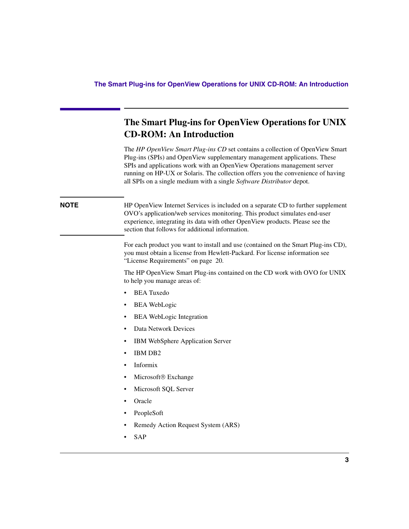# **The Smart Plug-ins for OpenView Operations for UNIX CD-ROM: An Introduction**

The *HP OpenView Smart Plug-ins CD* set contains a collection of OpenView Smart Plug-ins (SPIs) and OpenView supplementary management applications. These SPIs and applications work with an OpenView Operations management server running on HP-UX or Solaris. The collection offers you the convenience of having all SPIs on a single medium with a single *Software Distributor* depot.

**NOTE** HP OpenView Internet Services is included on a separate CD to further supplement OVO's application/web services monitoring. This product simulates end-user experience, integrating its data with other OpenView products. Please see the section that follows for additional information.

> For each product you want to install and use (contained on the Smart Plug-ins CD), you must obtain a license from Hewlett-Packard. For license information see "License Requirements" on [page 20.](#page-19-0)

> The HP OpenView Smart Plug-ins contained on the CD work with OVO for UNIX to help you manage areas of:

- BEA Tuxedo
- **BEA** WebLogic
- BEA WebLogic Integration
- Data Network Devices
- IBM WebSphere Application Server
- IBM DB2
- Informix
- Microsoft<sup>®</sup> Exchange
- Microsoft SQL Server
- Oracle
- PeopleSoft
- Remedy Action Request System (ARS)
- SAP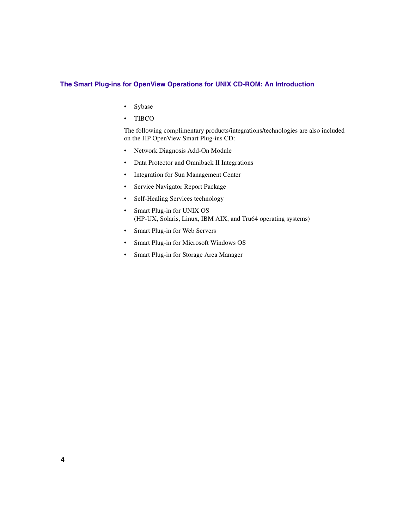### **The Smart Plug-ins for OpenView Operations for UNIX CD-ROM: An Introduction**

- Sybase
- TIBCO

The following complimentary products/integrations/technologies are also included on the HP OpenView Smart Plug-ins CD:

- Network Diagnosis Add-On Module
- Data Protector and Omniback II Integrations
- Integration for Sun Management Center
- Service Navigator Report Package
- Self-Healing Services technology
- Smart Plug-in for UNIX OS (HP-UX, Solaris, Linux, IBM AIX, and Tru64 operating systems)
- Smart Plug-in for Web Servers
- Smart Plug-in for Microsoft Windows OS
- Smart Plug-in for Storage Area Manager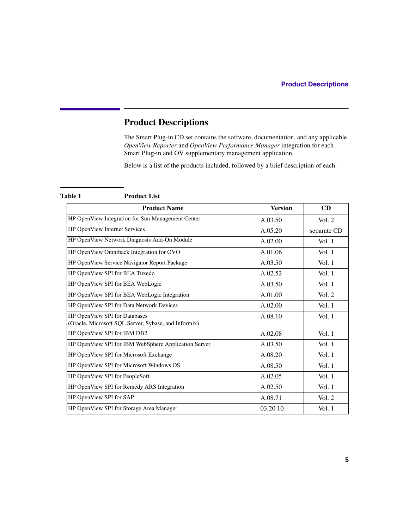The Smart Plug-in CD set contains the software, documentation, and any applicable *OpenView Reporter* and *OpenView Performance Manager* integration for each Smart Plug-in and OV supplementary management application.

Below is a list of the products included, followed by a brief description of each.

### <span id="page-4-0"></span>**Table 1 Product List**

| <b>Product Name</b>                                                                   | <b>Version</b> | <b>CD</b>   |
|---------------------------------------------------------------------------------------|----------------|-------------|
| HP OpenView Integration for Sun Management Center                                     | A.03.50        | Vol. $2$    |
| HP OpenView Internet Services                                                         | A.05.20        | separate CD |
| HP OpenView Network Diagnosis Add-On Module                                           | A.02.00        | Vol. $1$    |
| HP OpenView Omniback Integration for OVO                                              | A.01.06        | Vol. $1$    |
| HP OpenView Service Navigator Report Package                                          | A.03.50        | Vol. $1$    |
| HP OpenView SPI for BEA Tuxedo                                                        | A.02.52        | Vol. 1      |
| HP OpenView SPI for BEA WebLogic                                                      | A.03.50        | Vol. $1$    |
| HP OpenView SPI for BEA WebLogic Integration                                          | A.01.00        | Vol. $2$    |
| HP OpenView SPI for Data Network Devices                                              | A.02.00        | Vol. $1$    |
| HP OpenView SPI for Databases<br>(Oracle, Microsoft SQL Server, Sybase, and Informix) | A.08.10        | Vol.1       |
| HP OpenView SPI for IBM DB2                                                           | A.02.08        | Vol. $1$    |
| HP OpenView SPI for IBM WebSphere Application Server                                  | A.03.50        | Vol. $1$    |
| HP OpenView SPI for Microsoft Exchange                                                | A.08.20        | Vol. $1$    |
| HP OpenView SPI for Microsoft Windows OS                                              | A.08.50        | Vol. $1$    |
| HP OpenView SPI for PeopleSoft                                                        | A.02.05        | Vol. $1$    |
| HP OpenView SPI for Remedy ARS Integration                                            | A.02.50        | Vol. $1$    |
| HP OpenView SPI for SAP                                                               | A.08.71        | Vol. $2$    |
| HP OpenView SPI for Storage Area Manager                                              | 03.20.10       | Vol. $1$    |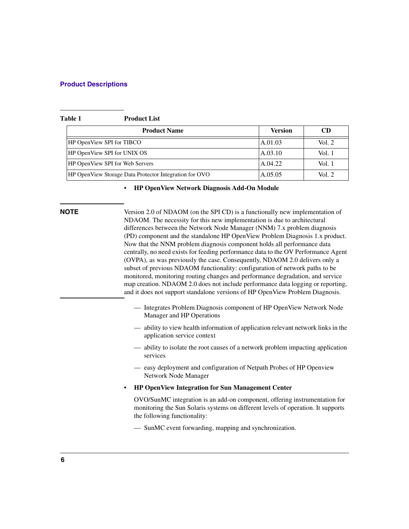| Table 1 | <b>Product List</b> |
|---------|---------------------|
|         |                     |

| <b>Product Name</b>                                    | Version | CD       |
|--------------------------------------------------------|---------|----------|
| HP OpenView SPI for TIBCO                              | A.01.03 | Vol. 2   |
| HP OpenView SPI for UNIX OS                            | A.03.10 | Vol. 1   |
| HP OpenView SPI for Web Servers                        | A.04.22 | Vol. 1   |
| HP OpenView Storage Data Protector Integration for OVO | A.05.05 | Vol. $2$ |

### • **HP OpenView Network Diagnosis Add-On Module**

**NOTE** Version 2.0 of NDAOM (on the SPI CD) is a functionally new implementation of NDAOM. The necessity for this new implementation is due to architectural differences between the Network Node Manager (NNM) 7.x problem diagnosis (PD) component and the standalone HP OpenView Problem Diagnosis 1.x product. Now that the NNM problem diagnosis component holds all performance data centrally, no need exists for feeding performance data to the OV Performance Agent (OVPA), as was previously the case. Consequently, NDAOM 2.0 delivers only a subset of previous NDAOM functionality: configuration of network paths to be monitored, monitoring routing changes and performance degradation, and service map creation. NDAOM 2.0 does not include performance data logging or reporting, and it does not support standalone versions of HP OpenView Problem Diagnosis.

- Integrates Problem Diagnosis component of HP OpenView Network Node Manager and HP Operations
- ability to view health information of application relevant network links in the application service context
- ability to isolate the root causes of a network problem impacting application services
- easy deployment and configuration of Netpath Probes of HP Openview Network Node Manager
- **HP OpenView Integration for Sun Management Center**

OVO/SunMC integration is an add-on component, offering instrumentation for monitoring the Sun Solaris systems on different levels of operation. It supports the following functionality:

— SunMC event forwarding, mapping and synchronization.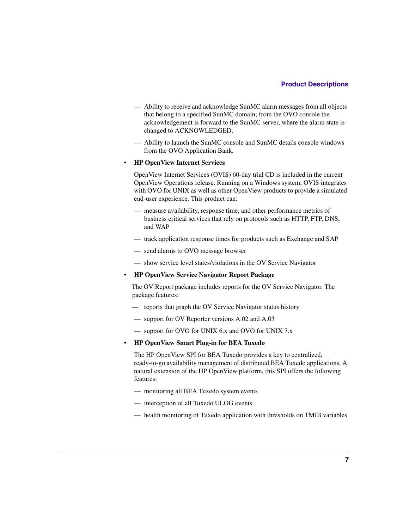- Ability to receive and acknowledge SunMC alarm messages from all objects that belong to a specified SunMC domain; from the OVO console the acknowledgement is forward to the SunMC server, where the alarm state is changed to ACKNOWLEDGED.
- Ability to launch the SunMC console and SunMC details console windows from the OVO Application Bank.

### • **HP OpenView Internet Services**

OpenView Internet Services (OVIS) 60-day trial CD is included in the current OpenView Operations release. Running on a Windows system, OVIS integrates with OVO for UNIX as well as other OpenView products to provide a simulated end-user experience. This product can:

- measure availability, response time, and other performance metrics of business critical services that rely on protocols such as HTTP, FTP, DNS, and WAP
- track application response times for products such as Exchange and SAP
- send alarms to OVO message browser
- show service level states/violations in the OV Service Navigator
- **HP OpenView Service Navigator Report Package**

The OV Report package includes reports for the OV Service Navigator. The package features:

- reports that graph the OV Service Navigator status history
- support for OV Reporter versions A.02 and A.03
- support for OVO for UNIX 6.x and OVO for UNIX 7.x

### • **HP OpenView Smart Plug-in for BEA Tuxedo**

The HP OpenView SPI for BEA Tuxedo provides a key to centralized, ready-to-go availability management of distributed BEA Tuxedo applications. A natural extension of the HP OpenView platform, this SPI offers the following features:

- monitoring all BEA Tuxedo system events
- interception of all Tuxedo ULOG events
- health monitoring of Tuxedo application with thresholds on TMIB variables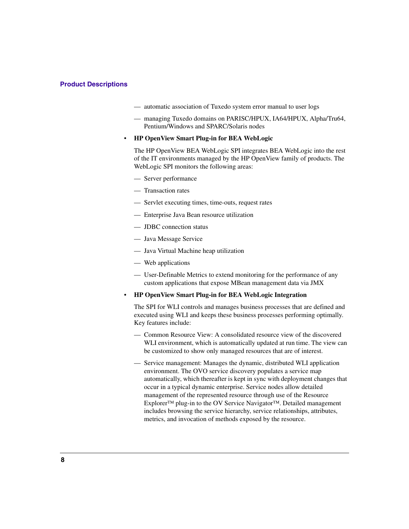- automatic association of Tuxedo system error manual to user logs
- managing Tuxedo domains on PARISC/HPUX, IA64/HPUX, Alpha/Tru64, Pentium/Windows and SPARC/Solaris nodes

### • **HP OpenView Smart Plug-in for BEA WebLogic**

The HP OpenView BEA WebLogic SPI integrates BEA WebLogic into the rest of the IT environments managed by the HP OpenView family of products. The WebLogic SPI monitors the following areas:

- Server performance
- Transaction rates
- Servlet executing times, time-outs, request rates
- Enterprise Java Bean resource utilization
- JDBC connection status
- Java Message Service
- Java Virtual Machine heap utilization
- Web applications
- User-Definable Metrics to extend monitoring for the performance of any custom applications that expose MBean management data via JMX

### • **HP OpenView Smart Plug-in for BEA WebLogic Integration**

The SPI for WLI controls and manages business processes that are defined and executed using WLI and keeps these business processes performing optimally. Key features include:

- Common Resource View: A consolidated resource view of the discovered WLI environment, which is automatically updated at run time. The view can be customized to show only managed resources that are of interest.
- Service management: Manages the dynamic, distributed WLI application environment. The OVO service discovery populates a service map automatically, which thereafter is kept in sync with deployment changes that occur in a typical dynamic enterprise. Service nodes allow detailed management of the represented resource through use of the Resource Explorer™ plug-in to the OV Service Navigator™. Detailed management includes browsing the service hierarchy, service relationships, attributes, metrics, and invocation of methods exposed by the resource.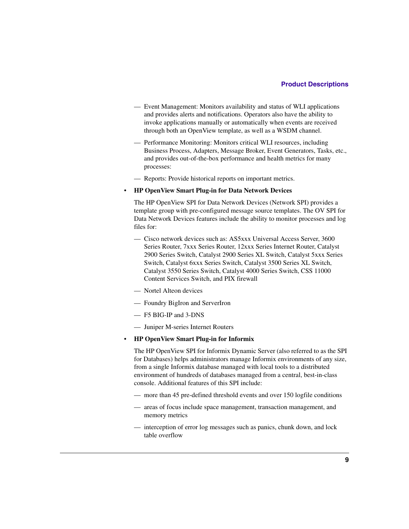- Event Management: Monitors availability and status of WLI applications and provides alerts and notifications. Operators also have the ability to invoke applications manually or automatically when events are received through both an OpenView template, as well as a WSDM channel.
- Performance Monitoring: Monitors critical WLI resources, including Business Process, Adapters, Message Broker, Event Generators, Tasks, etc., and provides out-of-the-box performance and health metrics for many processes:
- Reports: Provide historical reports on important metrics.

### • **HP OpenView Smart Plug-in for Data Network Devices**

The HP OpenView SPI for Data Network Devices (Network SPI) provides a template group with pre-configured message source templates. The OV SPI for Data Network Devices features include the ability to monitor processes and log files for:

- Cisco network devices such as: AS5xxx Universal Access Server, 3600 Series Router, 7xxx Series Router, 12xxx Series Internet Router, Catalyst 2900 Series Switch, Catalyst 2900 Series XL Switch, Catalyst 5xxx Series Switch, Catalyst 6xxx Series Switch, Catalyst 3500 Series XL Switch, Catalyst 3550 Series Switch, Catalyst 4000 Series Switch, CSS 11000 Content Services Switch, and PIX firewall
- Nortel Alteon devices
- Foundry BigIron and ServerIron
- F5 BIG-IP and 3-DNS
- Juniper M-series Internet Routers

### • **HP OpenView Smart Plug-in for Informix**

The HP OpenView SPI for Informix Dynamic Server (also referred to as the SPI for Databases) helps administrators manage Informix environments of any size, from a single Informix database managed with local tools to a distributed environment of hundreds of databases managed from a central, best-in-class console. Additional features of this SPI include:

- more than 45 pre-defined threshold events and over 150 logfile conditions
- areas of focus include space management, transaction management, and memory metrics
- interception of error log messages such as panics, chunk down, and lock table overflow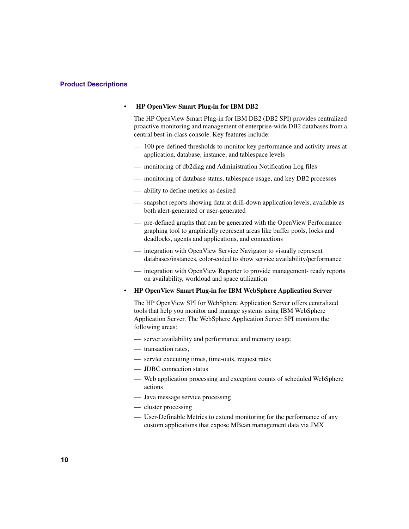### **• HP OpenView Smart Plug-in for IBM DB2**

The HP OpenView Smart Plug-in for IBM DB2 (DB2 SPI) provides centralized proactive monitoring and management of enterprise-wide DB2 databases from a central best-in-class console. Key features include:

- 100 pre-defined thresholds to monitor key performance and activity areas at application, database, instance, and tablespace levels
- monitoring of db2diag and Administration Notification Log files
- monitoring of database status, tablespace usage, and key DB2 processes
- ability to define metrics as desired
- snapshot reports showing data at drill-down application levels, available as both alert-generated or user-generated
- pre-defined graphs that can be generated with the OpenView Performance graphing tool to graphically represent areas like buffer pools, locks and deadlocks, agents and applications, and connections
- integration with OpenView Service Navigator to visually represent databases/instances, color-coded to show service availability/performance
- integration with OpenView Reporter to provide management- ready reports on availability, workload and space utilization
- **HP OpenView Smart Plug-in for IBM WebSphere Application Server**

The HP OpenView SPI for WebSphere Application Server offers centralized tools that help you monitor and manage systems using IBM WebSphere Application Server. The WebSphere Application Server SPI monitors the following areas:

- server availability and performance and memory usage
- transaction rates,
- servlet executing times, time-outs, request rates
- JDBC connection status
- Web application processing and exception counts of scheduled WebSphere actions
- Java message service processing
- cluster processing
- User-Definable Metrics to extend monitoring for the performance of any custom applications that expose MBean management data via JMX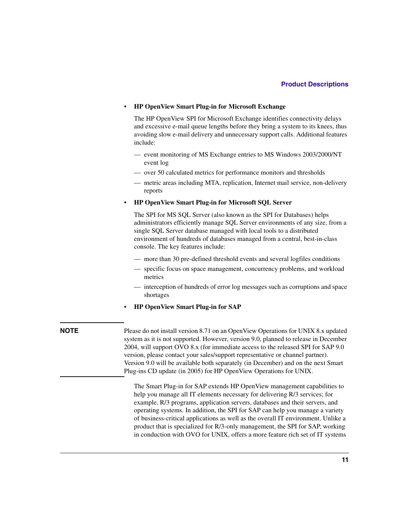### • **HP OpenView Smart Plug-in for Microsoft Exchange**

The HP OpenView SPI for Microsoft Exchange identifies connectivity delays and excessive e-mail queue lengths before they bring a system to its knees, thus avoiding slow e-mail delivery and unnecessary support calls. Additional features include:

- event monitoring of MS Exchange entries to MS Windows 2003/2000/NT event log
- over 50 calculated metrics for performance monitors and thresholds
- metric areas including MTA, replication, Internet mail service, non-delivery reports

### • **HP OpenView Smart Plug-in for Microsoft SQL Server**

The SPI for MS SQL Server (also known as the SPI for Databases) helps administrators efficiently manage SQL Server environments of any size, from a single SQL Server database managed with local tools to a distributed environment of hundreds of databases managed from a central, best-in-class console. The key features include:

- more than 30 pre-defined threshold events and several logfiles conditions
- specific focus on space management, concurrency problems, and workload metrics
- interception of hundreds of error log messages such as corruptions and space shortages
- **HP OpenView Smart Plug-in for SAP**

<span id="page-10-0"></span>**NOTE** Please do not install version 8.71 on an OpenView Operations for UNIX 8.x updated system as it is not supported. However, version 9.0, planned to release in December 2004, will support OVO 8.x (for immediate access to the released SPI for SAP 9.0 version, please contact your sales/support representative or channel partner). Version 9.0 will be available both separately (in December) and on the next Smart Plug-ins CD update (in 2005) for HP OpenView Operations for UNIX.

> The Smart Plug-in for SAP extends HP OpenView management capabilities to help you manage all IT elements necessary for delivering R/3 services; for example, R/3 programs, application servers, databases and their servers, and operating systems. In addition, the SPI for SAP can help you manage a variety of business-critical applications as well as the overall IT environment. Unlike a product that is specialized for R/3-only management, the SPI for SAP, working in conduction with OVO for UNIX, offers a more feature rich set of IT systems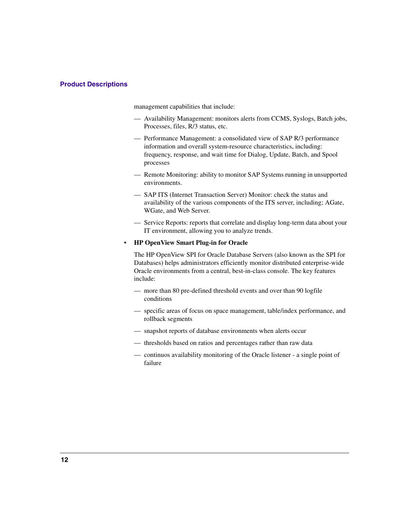management capabilities that include:

- Availability Management: monitors alerts from CCMS, Syslogs, Batch jobs, Processes, files, R/3 status, etc.
- Performance Management: a consolidated view of SAP R/3 performance information and overall system-resource characteristics, including: frequency, response, and wait time for Dialog, Update, Batch, and Spool processes
- Remote Monitoring: ability to monitor SAP Systems running in unsupported environments.
- SAP ITS (Internet Transaction Server) Monitor: check the status and availability of the various components of the ITS server, including; AGate, WGate, and Web Server.
- Service Reports: reports that correlate and display long-term data about your IT environment, allowing you to analyze trends.

### • **HP OpenView Smart Plug-in for Oracle**

The HP OpenView SPI for Oracle Database Servers (also known as the SPI for Databases) helps administrators efficiently monitor distributed enterprise-wide Oracle environments from a central, best-in-class console. The key features include:

- more than 80 pre-defined threshold events and over than 90 logfile conditions
- specific areas of focus on space management, table/index performance, and rollback segments
- snapshot reports of database environments when alerts occur
- thresholds based on ratios and percentages rather than raw data
- continuos availability monitoring of the Oracle listener a single point of failure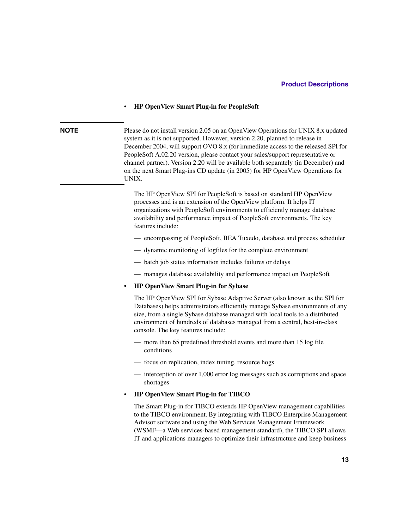### • **HP OpenView Smart Plug-in for PeopleSoft**

**NOTE** Please do not install version 2.05 on an OpenView Operations for UNIX 8.x updated system as it is not supported. However, version 2.20, planned to release in December 2004, will support OVO 8.x (for immediate access to the released SPI for PeopleSoft A.02.20 version, please contact your sales/support representative or channel partner). Version 2.20 will be available both separately (in December) and on the next Smart Plug-ins CD update (in 2005) for HP OpenView Operations for UNIX.

> The HP OpenView SPI for PeopleSoft is based on standard HP OpenView processes and is an extension of the OpenView platform. It helps IT organizations with PeopleSoft environments to efficiently manage database availability and performance impact of PeopleSoft environments. The key features include:

- encompassing of PeopleSoft, BEA Tuxedo, database and process scheduler
- dynamic monitoring of logfiles for the complete environment
- batch job status information includes failures or delays
- manages database availability and performance impact on PeopleSoft

### • **HP OpenView Smart Plug-in for Sybase**

The HP OpenView SPI for Sybase Adaptive Server (also known as the SPI for Databases) helps administrators efficiently manage Sybase environments of any size, from a single Sybase database managed with local tools to a distributed environment of hundreds of databases managed from a central, best-in-class console. The key features include:

- more than 65 predefined threshold events and more than 15 log file conditions
- focus on replication, index tuning, resource hogs
- interception of over 1,000 error log messages such as corruptions and space shortages

### • **HP OpenView Smart Plug-in for TIBCO**

The Smart Plug-in for TIBCO extends HP OpenView management capabilities to the TIBCO environment. By integrating with TIBCO Enterprise Management Advisor software and using the Web Services Management Framework (WSMF—a Web services-based management standard), the TIBCO SPI allows IT and applications managers to optimize their infrastructure and keep business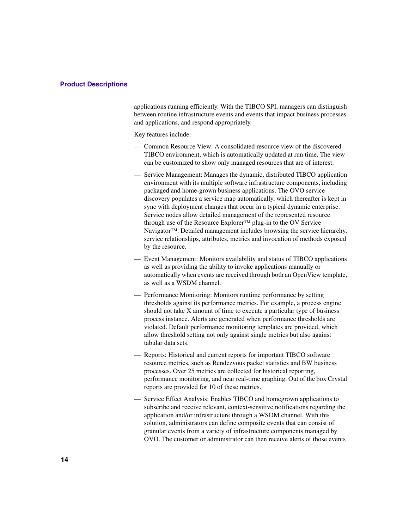applications running efficiently. With the TIBCO SPI, managers can distinguish between routine infrastructure events and events that impact business processes and applications, and respond appropriately.

Key features include:

- Common Resource View: A consolidated resource view of the discovered TIBCO environment, which is automatically updated at run time. The view can be customized to show only managed resources that are of interest.
- Service Management: Manages the dynamic, distributed TIBCO application environment with its multiple software infrastructure components, including packaged and home-grown business applications. The OVO service discovery populates a service map automatically, which thereafter is kept in sync with deployment changes that occur in a typical dynamic enterprise. Service nodes allow detailed management of the represented resource through use of the Resource Explorer™ plug-in to the OV Service Navigator<sup>™</sup>. Detailed management includes browsing the service hierarchy, service relationships, attributes, metrics and invocation of methods exposed by the resource.
- Event Management: Monitors availability and status of TIBCO applications as well as providing the ability to invoke applications manually or automatically when events are received through both an OpenView template, as well as a WSDM channel.
- Performance Monitoring: Monitors runtime performance by setting thresholds against its performance metrics. For example, a process engine should not take X amount of time to execute a particular type of business process instance. Alerts are generated when performance thresholds are violated. Default performance monitoring templates are provided, which allow threshold setting not only against single metrics but also against tabular data sets.
- Reports: Historical and current reports for important TIBCO software resource metrics, such as Rendezvous packet statistics and BW business processes. Over 25 metrics are collected for historical reporting, performance monitoring, and near real-time graphing. Out of the box Crystal reports are provided for 10 of these metrics.
- Service Effect Analysis: Enables TIBCO and homegrown applications to subscribe and receive relevant, context-sensitive notifications regarding the application and/or infrastructure through a WSDM channel. With this solution, administrators can define composite events that can consist of granular events from a variety of infrastructure components managed by OVO. The customer or administrator can then receive alerts of those events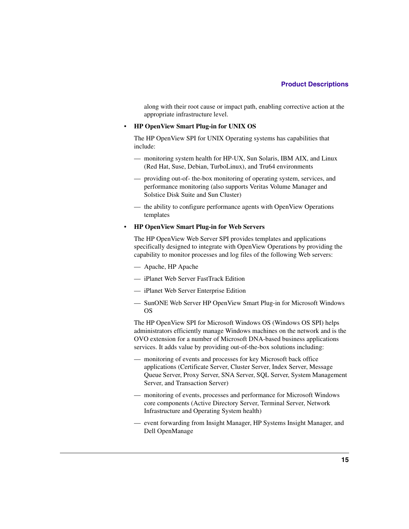along with their root cause or impact path, enabling corrective action at the appropriate infrastructure level.

### • **HP OpenView Smart Plug-in for UNIX OS**

The HP OpenView SPI for UNIX Operating systems has capabilities that include:

- monitoring system health for HP-UX, Sun Solaris, IBM AIX, and Linux (Red Hat, Suse, Debian, TurboLinux), and Tru64 environments
- providing out-of- the-box monitoring of operating system, services, and performance monitoring (also supports Veritas Volume Manager and Solstice Disk Suite and Sun Cluster)
- the ability to configure performance agents with OpenView Operations templates

### • **HP OpenView Smart Plug-in for Web Servers**

The HP OpenView Web Server SPI provides templates and applications specifically designed to integrate with OpenView Operations by providing the capability to monitor processes and log files of the following Web servers:

- Apache, HP Apache
- iPlanet Web Server FastTrack Edition
- iPlanet Web Server Enterprise Edition
- SunONE Web Server HP OpenView Smart Plug-in for Microsoft Windows OS

The HP OpenView SPI for Microsoft Windows OS (Windows OS SPI) helps administrators efficiently manage Windows machines on the network and is the OVO extension for a number of Microsoft DNA-based business applications services. It adds value by providing out-of-the-box solutions including:

- monitoring of events and processes for key Microsoft back office applications (Certificate Server, Cluster Server, Index Server, Message Queue Server, Proxy Server, SNA Server, SQL Server, System Management Server, and Transaction Server)
- monitoring of events, processes and performance for Microsoft Windows core components (Active Directory Server, Terminal Server, Network Infrastructure and Operating System health)
- event forwarding from Insight Manager, HP Systems Insight Manager, and Dell OpenManage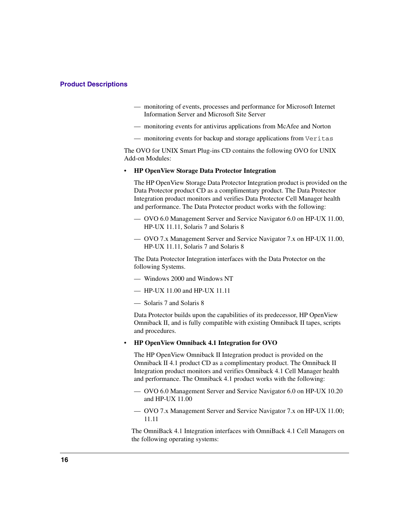- monitoring of events, processes and performance for Microsoft Internet Information Server and Microsoft Site Server
- monitoring events for antivirus applications from McAfee and Norton
- monitoring events for backup and storage applications from Veritas

The OVO for UNIX Smart Plug-ins CD contains the following OVO for UNIX Add-on Modules:

• **HP OpenView Storage Data Protector Integration**

The HP OpenView Storage Data Protector Integration product is provided on the Data Protector product CD as a complimentary product. The Data Protector Integration product monitors and verifies Data Protector Cell Manager health and performance. The Data Protector product works with the following:

- OVO 6.0 Management Server and Service Navigator 6.0 on HP-UX 11.00, HP-UX 11.11, Solaris 7 and Solaris 8
- OVO 7.x Management Server and Service Navigator 7.x on HP-UX 11.00, HP-UX 11.11, Solaris 7 and Solaris 8

The Data Protector Integration interfaces with the Data Protector on the following Systems.

- Windows 2000 and Windows NT
- HP-UX 11.00 and HP-UX 11.11
- Solaris 7 and Solaris 8

Data Protector builds upon the capabilities of its predecessor, HP OpenView Omniback II, and is fully compatible with existing Omniback II tapes, scripts and procedures.

### • **HP OpenView Omniback 4.1 Integration for OVO**

The HP OpenView Omniback II Integration product is provided on the Omniback II 4.1 product CD as a complimentary product. The Omniback II Integration product monitors and verifies Omniback 4.1 Cell Manager health and performance. The Omniback 4.1 product works with the following:

- OVO 6.0 Management Server and Service Navigator 6.0 on HP-UX 10.20 and HP-UX 11.00
- OVO 7.x Management Server and Service Navigator 7.x on HP-UX 11.00; 11.11

The OmniBack 4.1 Integration interfaces with OmniBack 4.1 Cell Managers on the following operating systems: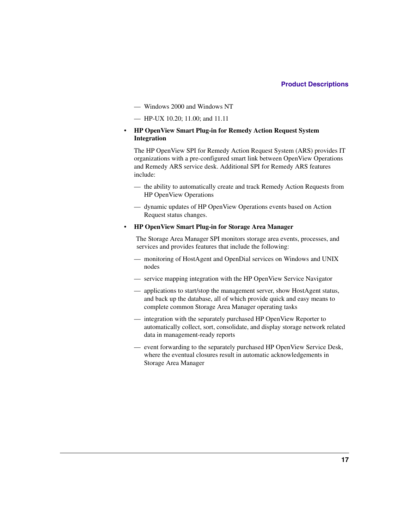- Windows 2000 and Windows NT
- HP-UX 10.20; 11.00; and 11.11
- **HP OpenView Smart Plug-in for Remedy Action Request System Integration**

The HP OpenView SPI for Remedy Action Request System (ARS) provides IT organizations with a pre-configured smart link between OpenView Operations and Remedy ARS service desk. Additional SPI for Remedy ARS features include:

- the ability to automatically create and track Remedy Action Requests from HP OpenView Operations
- dynamic updates of HP OpenView Operations events based on Action Request status changes.
- **HP OpenView Smart Plug-in for Storage Area Manager**

The Storage Area Manager SPI monitors storage area events, processes, and services and provides features that include the following:

- monitoring of HostAgent and OpenDial services on Windows and UNIX nodes
- service mapping integration with the HP OpenView Service Navigator
- applications to start/stop the management server, show HostAgent status, and back up the database, all of which provide quick and easy means to complete common Storage Area Manager operating tasks
- integration with the separately purchased HP OpenView Reporter to automatically collect, sort, consolidate, and display storage network related data in management-ready reports
- event forwarding to the separately purchased HP OpenView Service Desk, where the eventual closures result in automatic acknowledgements in Storage Area Manager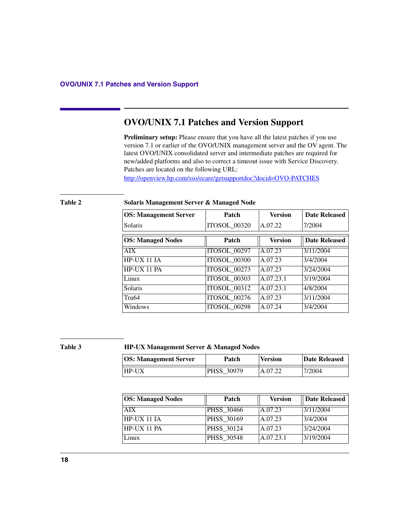<span id="page-17-0"></span>**Preliminary setup:** Please ensure that you have all the latest patches if you use version 7.1 or earlier of the OVO/UNIX management server and the OV agent. The latest OVO/UNIX consolidated server and intermediate patches are required for new/added platforms and also to correct a timeout issue with Service Discovery. Patches are located on the following URL:

http://openview.hp.com/sso/ecare/getsupportdoc?docid=OVO-PATCHES

| <b>OS: Management Server</b> | Patch               | <b>Version</b> | <b>Date Released</b> |
|------------------------------|---------------------|----------------|----------------------|
| Solaris                      | ITOSOL_00320        | A.07.22        | 7/2004               |
| <b>OS: Managed Nodes</b>     | Patch               | <b>Version</b> | <b>Date Released</b> |
| <b>AIX</b>                   | <b>ITOSOL 00297</b> | A.07.23        | 3/11/2004            |
| $HP-UX$ 11 IA                | <b>ITOSOL 00300</b> | A.07.23        | 3/4/2004             |
| HP-UX 11 PA                  | <b>ITOSOL_00273</b> | A.07.23        | 3/24/2004            |
| Linux                        | ITOSOL_00303        | A.07.23.1      | 3/19/2004            |
| Solaris                      | <b>ITOSOL 00312</b> | A.07.23.1      | 4/8/2004             |
| Tru <sub>64</sub>            | <b>ITOSOL 00276</b> | A.07.23        | 3/11/2004            |
| Windows                      | <b>ITOSOL_00298</b> | A.07.24        | 3/4/2004             |

### **Table 2 Solaris Management Server & Managed Node**

### **Table 3 HP-UX Management Server & Managed Nodes**

| <b>OS: Management Server</b> | Patch             | <b>Version</b> | Date Released |
|------------------------------|-------------------|----------------|---------------|
| <b>HP-UX</b>                 | <b>PHSS 30979</b> | A.07.22        | 7/2004        |

| <b>OS: Managed Nodes</b> | Patch             | <b>Version</b> | Date Released |
|--------------------------|-------------------|----------------|---------------|
| AIX.                     | PHSS 30466        | A.07.23        | 3/11/2004     |
| $HP-UX 11 IA$            | <b>PHSS 30169</b> | A.07.23        | 3/4/2004      |
| $HP-UX$ 11 $PA$          | PHSS 30124        | A.07.23        | 3/24/2004     |
| Linux                    | <b>PHSS 30548</b> | A.07.23.1      | 3/19/2004     |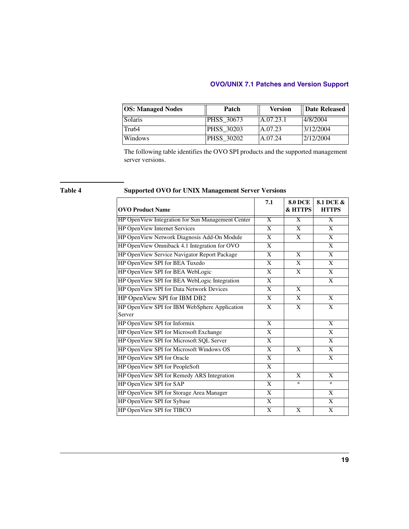| <b>OS: Managed Nodes</b> | Patch             | <b>Version</b> | Date Released |
|--------------------------|-------------------|----------------|---------------|
| Solaris                  | <b>PHSS 30673</b> | A.07.23.1      | 14/8/2004     |
| Tru <sub>64</sub>        | PHSS 30203        | A.07.23        | 3/12/2004     |
| Windows                  | PHSS 30202        | A.07.24        | 2/12/2004     |

The following table identifies the OVO SPI products and the supported management server versions.

### **Table 4 Supported OVO for UNIX Management Server Versions**

| <b>OVO Product Name</b>                           | 7.1            | <b>8.0 DCE</b><br>& HTTPS | 8.1 DCE &<br><b>HTTPS</b> |
|---------------------------------------------------|----------------|---------------------------|---------------------------|
| HP OpenView Integration for Sun Management Center | $\overline{X}$ | $\overline{X}$            | $\overline{X}$            |
| <b>HP OpenView Internet Services</b>              | $\overline{X}$ | $\overline{X}$            | $\overline{X}$            |
| HP OpenView Network Diagnosis Add-On Module       | X              | X                         | X                         |
| HP OpenView Omniback 4.1 Integration for OVO      | $\mathbf{X}$   |                           | $\mathbf{X}$              |
| HP OpenView Service Navigator Report Package      | X              | X                         | X                         |
| HP OpenView SPI for BEA Tuxedo                    | $\overline{X}$ | $\overline{X}$            | $\overline{\mathbf{x}}$   |
| HP OpenView SPI for BEA WebLogic                  | $\mathbf{X}$   | X                         | X                         |
| HP OpenView SPI for BEA WebLogic Integration      | $\overline{X}$ |                           | X                         |
| HP OpenView SPI for Data Network Devices          | X              | X                         |                           |
| HP OpenView SPI for IBM DB2                       | $\mathbf{X}$   | X                         | X                         |
| HP OpenView SPI for IBM WebSphere Application     | X              | X                         | X                         |
| Server                                            |                |                           |                           |
| HP OpenView SPI for Informix                      | X              |                           | X                         |
| HP OpenView SPI for Microsoft Exchange            | X              |                           | X                         |
| HP OpenView SPI for Microsoft SQL Server          | X              |                           | X                         |
| HP OpenView SPI for Microsoft Windows OS          | X              | X                         | X                         |
| HP OpenView SPI for Oracle                        | X              |                           | X                         |
| HP OpenView SPI for PeopleSoft                    | X              |                           |                           |
| HP OpenView SPI for Remedy ARS Integration        | X              | X                         | X                         |
| HP OpenView SPI for SAP                           | X              | $\ast$                    | $\ast$                    |
| HP OpenView SPI for Storage Area Manager          | X              |                           | X                         |
| HP OpenView SPI for Sybase                        | X              |                           | X                         |
| HP OpenView SPI for TIBCO                         | X              | X                         | X                         |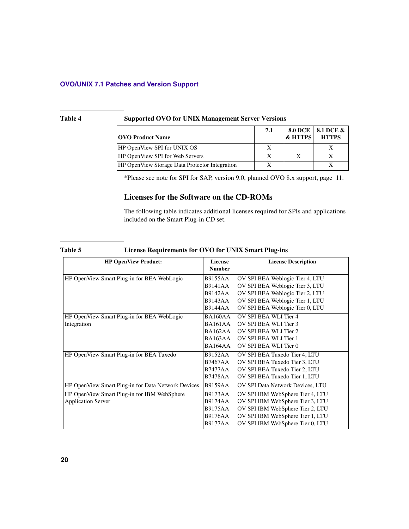### **Table 4 Supported OVO for UNIX Management Server Versions**

| <b>OVO Product Name</b>                               | 7.1 | $\&$ HTTPS | 8.0 DCE   8.1 DCE &<br><b>HTTPS</b> |
|-------------------------------------------------------|-----|------------|-------------------------------------|
| HP OpenView SPI for UNIX OS                           |     |            |                                     |
| <b>HP OpenView SPI for Web Servers</b>                |     |            |                                     |
| <b>HP OpenView Storage Data Protector Integration</b> |     |            |                                     |

\*Please see note for SPI for SAP, version 9.0, planned OVO 8.x support, [page 11](#page-10-0).

### <span id="page-19-0"></span>**Licenses for the Software on the CD-ROMs**

The following table indicates additional licenses required for SPIs and applications included on the Smart Plug-in CD set.

| <b>HP OpenView Product:</b>                        | License<br><b>Number</b> | <b>License Description</b>       |
|----------------------------------------------------|--------------------------|----------------------------------|
| HP OpenView Smart Plug-in for BEA WebLogic         | <b>B9155AA</b>           | OV SPI BEA Weblogic Tier 4, LTU  |
|                                                    | <b>B9141AA</b>           | OV SPI BEA Weblogic Tier 3, LTU  |
|                                                    | <b>B9142AA</b>           | OV SPI BEA Weblogic Tier 2, LTU  |
|                                                    | <b>B9143AA</b>           | OV SPI BEA Weblogic Tier 1, LTU  |
|                                                    | <b>B9144AA</b>           | OV SPI BEA Weblogic Tier 0, LTU  |
| HP OpenView Smart Plug-in for BEA WebLogic         | <b>BA160AA</b>           | OV SPI BEA WLI Tier 4            |
| Integration                                        | <b>BA161AA</b>           | OV SPI BEA WLI Tier 3            |
|                                                    | BA162AA                  | OV SPI BEA WLI Tier 2            |
|                                                    | BA163AA                  | OV SPI BEA WLI Tier 1            |
|                                                    | BA164AA                  | OV SPI BEA WLI Tier 0            |
| HP OpenView Smart Plug-in for BEA Tuxedo           | <b>B9152AA</b>           | OV SPI BEA Tuxedo Tier 4, LTU    |
|                                                    | <b>B7467AA</b>           | OV SPI BEA Tuxedo Tier 3, LTU    |
|                                                    | <b>B7477AA</b>           | OV SPI BEA Tuxedo Tier 2, LTU    |
|                                                    | <b>B7478AA</b>           | OV SPI BEA Tuxedo Tier 1, LTU    |
| HP OpenView Smart Plug-in for Data Network Devices | <b>B9159AA</b>           | OV SPI Data Network Devices, LTU |
| HP OpenView Smart Plug-in for IBM WebSphere        | <b>B9173AA</b>           | OV SPI IBM WebSphere Tier 4, LTU |
| <b>Application Server</b>                          | <b>B9174AA</b>           | OV SPI IBM WebSphere Tier 3, LTU |
|                                                    | <b>B9175AA</b>           | OV SPI IBM WebSphere Tier 2, LTU |
|                                                    | <b>B9176AA</b>           | OV SPI IBM WebSphere Tier 1, LTU |
|                                                    | <b>B9177AA</b>           | OV SPI IBM WebSphere Tier 0, LTU |

### **Table 5 License Requirements for OVO for UNIX Smart Plug-ins**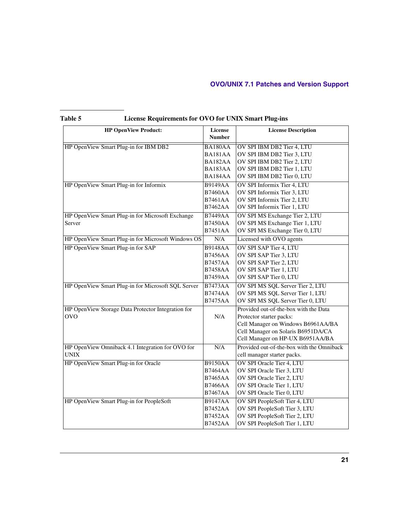| <b>HP OpenView Product:</b>                        | License<br><b>Number</b> | <b>License Description</b>                |
|----------------------------------------------------|--------------------------|-------------------------------------------|
| HP OpenView Smart Plug-in for IBM DB2              | BA180AA                  | OV SPI IBM DB2 Tier 4, LTU                |
|                                                    | BA181AA                  | OV SPI IBM DB2 Tier 3, LTU                |
|                                                    | BA182AA                  | OV SPI IBM DB2 Tier 2, LTU                |
|                                                    | BA183AA                  | OV SPI IBM DB2 Tier 1, LTU                |
|                                                    | BA184AA                  | OV SPI IBM DB2 Tier 0, LTU                |
| HP OpenView Smart Plug-in for Informix             | <b>B9149AA</b>           | OV SPI Informix Tier 4, LTU               |
|                                                    | <b>B7460AA</b>           | OV SPI Informix Tier 3, LTU               |
|                                                    | <b>B7461AA</b>           | OV SPI Informix Tier 2, LTU               |
|                                                    | <b>B7462AA</b>           | OV SPI Informix Tier 1, LTU               |
| HP OpenView Smart Plug-in for Microsoft Exchange   | <b>B7449AA</b>           | OV SPI MS Exchange Tier 2, LTU            |
| Server                                             | <b>B7450AA</b>           | OV SPI MS Exchange Tier 1, LTU            |
|                                                    | <b>B7451AA</b>           | OV SPI MS Exchange Tier 0, LTU            |
| HP OpenView Smart Plug-in for Microsoft Windows OS | N/A                      | Licensed with OVO agents                  |
| HP OpenView Smart Plug-in for SAP                  | <b>B9148AA</b>           | OV SPI SAP Tier 4, LTU                    |
|                                                    | <b>B7456AA</b>           | OV SPI SAP Tier 3, LTU                    |
|                                                    | <b>B7457AA</b>           | OV SPI SAP Tier 2, LTU                    |
|                                                    | <b>B7458AA</b>           | OV SPI SAP Tier 1, LTU                    |
|                                                    | <b>B7459AA</b>           | OV SPI SAP Tier 0, LTU                    |
| HP OpenView Smart Plug-in for Microsoft SQL Server | <b>B7473AA</b>           | OV SPI MS SQL Server Tier 2, LTU          |
|                                                    | <b>B7474AA</b>           | OV SPI MS SQL Server Tier 1, LTU          |
|                                                    | <b>B7475AA</b>           | OV SPI MS SQL Server Tier 0, LTU          |
| HP OpenView Storage Data Protector Integration for |                          | Provided out-of-the-box with the Data     |
| <b>OVO</b>                                         | N/A                      | Protector starter packs:                  |
|                                                    |                          | Cell Manager on Windows B6961AA/BA        |
|                                                    |                          | Cell Manager on Solaris B6951DA/CA        |
|                                                    |                          | Cell Manager on HP-UX B6951AA/BA          |
| HP OpenView Omniback 4.1 Integration for OVO for   | N/A                      | Provided out-of-the-box with the Omniback |
| UNIX                                               |                          | cell manager starter packs.               |
| HP OpenView Smart Plug-in for Oracle               | <b>B9150AA</b>           | OV SPI Oracle Tier 4, LTU                 |
|                                                    | <b>B7464AA</b>           | OV SPI Oracle Tier 3, LTU                 |
|                                                    | <b>B7465AA</b>           | OV SPI Oracle Tier 2, LTU                 |
|                                                    | <b>B7466AA</b>           | OV SPI Oracle Tier 1, LTU                 |
|                                                    | <b>B7467AA</b>           | OV SPI Oracle Tier 0, LTU                 |
| HP OpenView Smart Plug-in for PeopleSoft           | <b>B9147AA</b>           | OV SPI PeopleSoft Tier 4, LTU             |
|                                                    | <b>B7452AA</b>           | OV SPI PeopleSoft Tier 3, LTU             |
|                                                    | <b>B7452AA</b>           | OV SPI PeopleSoft Tier 2, LTU             |
|                                                    | <b>B7452AA</b>           | OV SPI PeopleSoft Tier 1, LTU             |

### **Table 5 License Requirements for OVO for UNIX Smart Plug-ins**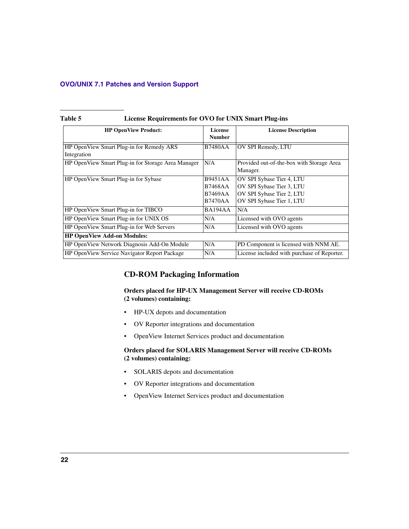| Table 5 | License Requirements for OVO for UNIX Smart Plug-ins |
|---------|------------------------------------------------------|
|---------|------------------------------------------------------|

| <b>HP OpenView Product:</b>                             | License<br><b>Number</b>                                             | <b>License Description</b>                                                                                       |
|---------------------------------------------------------|----------------------------------------------------------------------|------------------------------------------------------------------------------------------------------------------|
| HP OpenView Smart Plug-in for Remedy ARS<br>Integration | <b>B7480AA</b>                                                       | OV SPI Remedy, LTU                                                                                               |
| HP OpenView Smart Plug-in for Storage Area Manager      | N/A                                                                  | Provided out-of-the-box with Storage Area<br>Manager.                                                            |
| HP OpenView Smart Plug-in for Sybase                    | <b>B9451AA</b><br><b>B7468AA</b><br><b>B7469AA</b><br><b>B7470AA</b> | OV SPI Sybase Tier 4, LTU<br>OV SPI Sybase Tier 3, LTU<br>OV SPI Sybase Tier 2, LTU<br>OV SPI Sybase Tier 1, LTU |
| HP OpenView Smart Plug-in for TIBCO                     | BA194AA                                                              | N/A                                                                                                              |
| HP OpenView Smart Plug-in for UNIX OS                   | N/A                                                                  | Licensed with OVO agents                                                                                         |
| HP OpenView Smart Plug-in for Web Servers               | N/A                                                                  | Licensed with OVO agents                                                                                         |
| <b>HP OpenView Add-on Modules:</b>                      |                                                                      |                                                                                                                  |
| HP OpenView Network Diagnosis Add-On Module             | N/A                                                                  | PD Component is licensed with NNM AE.                                                                            |
| HP OpenView Service Navigator Report Package            | N/A                                                                  | License included with purchase of Reporter.                                                                      |

### **CD-ROM Packaging Information**

### **Orders placed for HP-UX Management Server will receive CD-ROMs (2 volumes) containing:**

- HP-UX depots and documentation
- OV Reporter integrations and documentation
- OpenView Internet Services product and documentation

### **Orders placed for SOLARIS Management Server will receive CD-ROMs (2 volumes) containing:**

- SOLARIS depots and documentation
- OV Reporter integrations and documentation
- OpenView Internet Services product and documentation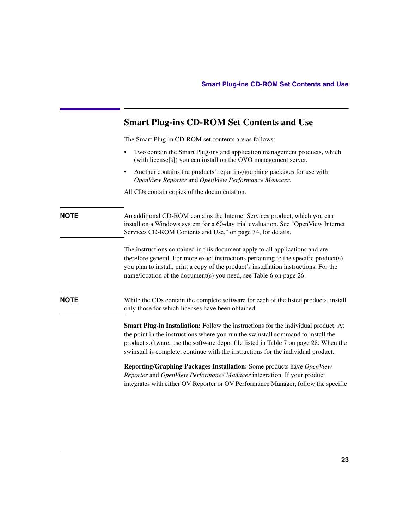|             | <b>Smart Plug-ins CD-ROM Set Contents and Use</b>                                                                                                                                                                                                                                                                                                   |
|-------------|-----------------------------------------------------------------------------------------------------------------------------------------------------------------------------------------------------------------------------------------------------------------------------------------------------------------------------------------------------|
|             | The Smart Plug-in CD-ROM set contents are as follows:                                                                                                                                                                                                                                                                                               |
|             | Two contain the Smart Plug-ins and application management products, which<br>(with license[s]) you can install on the OVO management server.                                                                                                                                                                                                        |
|             | Another contains the products' reporting/graphing packages for use with<br>OpenView Reporter and OpenView Performance Manager.                                                                                                                                                                                                                      |
|             | All CDs contain copies of the documentation.                                                                                                                                                                                                                                                                                                        |
| <b>NOTE</b> | An additional CD-ROM contains the Internet Services product, which you can<br>install on a Windows system for a 60-day trial evaluation. See "OpenView Internet<br>Services CD-ROM Contents and Use," on page 34, for details.                                                                                                                      |
|             | The instructions contained in this document apply to all applications and are<br>therefore general. For more exact instructions pertaining to the specific product(s)<br>you plan to install, print a copy of the product's installation instructions. For the<br>name/location of the document(s) you need, see Table 6 on page 26.                |
| <b>NOTE</b> | While the CDs contain the complete software for each of the listed products, install<br>only those for which licenses have been obtained.                                                                                                                                                                                                           |
|             | Smart Plug-in Installation: Follow the instructions for the individual product. At<br>the point in the instructions where you run the swinstall command to install the<br>product software, use the software depot file listed in Table 7 on page 28. When the<br>swinstall is complete, continue with the instructions for the individual product. |
|             | Reporting/Graphing Packages Installation: Some products have OpenView<br>Reporter and OpenView Performance Manager integration. If your product                                                                                                                                                                                                     |

integrates with either OV Reporter or OV Performance Manager, follow the specific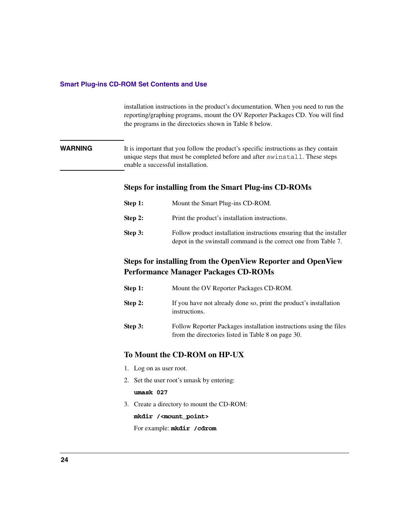### **Smart Plug-ins CD-ROM Set Contents and Use**

installation instructions in the product's documentation. When you need to run the reporting/graphing programs, mount the OV Reporter Packages CD. You will find the programs in the directories shown in [Table 8](#page-29-0) below.

**WARNING** It is important that you follow the product's specific instructions as they contain unique steps that must be completed before and after swinstall. These steps enable a successful installation.

### **Steps for installing from the Smart Plug-ins CD-ROMs**

| Step 1:   | Mount the Smart Plug-ins CD-ROM.                                                                                                        |
|-----------|-----------------------------------------------------------------------------------------------------------------------------------------|
| Step $2:$ | Print the product's installation instructions.                                                                                          |
| Step 3:   | Follow product installation instructions ensuring that the installer<br>depot in the swinstall command is the correct one from Table 7. |

# **Steps for installing from the OpenView Reporter and OpenView Performance Manager Packages CD-ROMs**

| Step 1: | Mount the OV Reporter Packages CD-ROM.                                                                                   |
|---------|--------------------------------------------------------------------------------------------------------------------------|
| Step 2: | If you have not already done so, print the product's installation<br>instructions.                                       |
| Step 3: | Follow Reporter Packages installation instructions using the files<br>from the directories listed in Table 8 on page 30. |

### **To Mount the CD-ROM on HP-UX**

- 1. Log on as user root.
- 2. Set the user root's umask by entering:

### **umask 027**

3. Create a directory to mount the CD-ROM:

**mkdir /<mount\_point>**

For example: **mkdir /cdrom**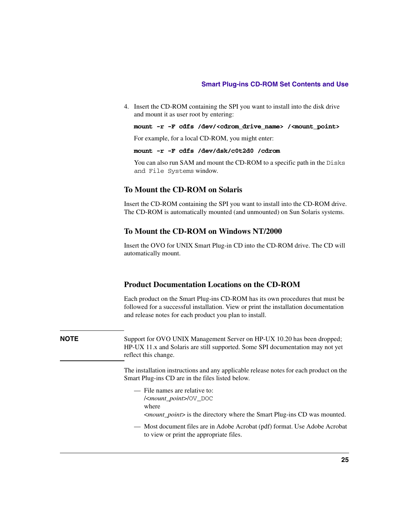### **Smart Plug-ins CD-ROM Set Contents and Use**

4. Insert the CD-ROM containing the SPI you want to install into the disk drive and mount it as user root by entering:

**mount -r -F cdfs /dev/<cdrom\_drive\_name> /<mount\_point>**

For example, for a local CD-ROM, you might enter:

**mount -r -F cdfs /dev/dsk/c0t2d0 /cdrom**

You can also run SAM and mount the CD-ROM to a specific path in the Disks and File Systems window.

### **To Mount the CD-ROM on Solaris**

Insert the CD-ROM containing the SPI you want to install into the CD-ROM drive. The CD-ROM is automatically mounted (and unmounted) on Sun Solaris systems.

### **To Mount the CD-ROM on Windows NT/2000**

Insert the OVO for UNIX Smart Plug-in CD into the CD-ROM drive. The CD will automatically mount.

### **Product Documentation Locations on the CD-ROM**

Each product on the Smart Plug-ins CD-ROM has its own procedures that must be followed for a successful installation. View or print the installation documentation and release notes for each product you plan to install.

**NOTE** Support for OVO UNIX Management Server on HP-UX 10.20 has been dropped; HP-UX 11.x and Solaris are still supported. Some SPI documentation may not yet reflect this change.

> The installation instructions and any applicable release notes for each product on the Smart Plug-ins CD are in the files listed below.

- File names are relative to: /<*mount\_point*>/OV\_DOC
	- where

<*mount\_point*> is the directory where the Smart Plug-ins CD was mounted.

— Most document files are in Adobe Acrobat (pdf) format. Use Adobe Acrobat to view or print the appropriate files.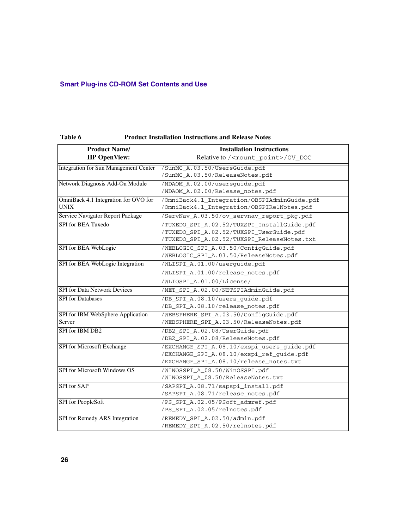| <b>Product Name/</b>                         | <b>Installation Instructions</b>                                        |
|----------------------------------------------|-------------------------------------------------------------------------|
| <b>HP OpenView:</b>                          | Relative to / <mount point="">/0V DOC</mount>                           |
| <b>Integration for Sun Management Center</b> | /SunMC_A.03.50/UsersGuide.pdf                                           |
|                                              | /SunMC_A.03.50/ReleaseNotes.pdf                                         |
| Network Diagnosis Add-On Module              | /NDAOM_A.02.00/usersguide.pdf                                           |
|                                              | /NDAOM_A.02.00/Release_notes.pdf                                        |
| OmniBack 4.1 Integration for OVO for         | /OmniBack4.1_Integration/OBSPIAdminGuide.pdf                            |
| <b>UNIX</b>                                  | /OmniBack4.1_Integration/OBSPIRelNotes.pdf                              |
| Service Navigator Report Package             | /ServNav_A.03.50/ov_servnav_report_pkg.pdf                              |
| <b>SPI</b> for <b>BEA</b> Tuxedo             | /TUXEDO_SPI_A.02.52/TUXSPI_InstallGuide.pdf                             |
|                                              | /TUXEDO_SPI_A.02.52/TUXSPI_UserGuide.pdf                                |
|                                              | /TUXEDO_SPI_A.02.52/TUXSPI_ReleaseNotes.txt                             |
| SPI for BEA WebLogic                         | /WEBLOGIC_SPI_A.03.50/ConfigGuide.pdf                                   |
|                                              | /WEBLOGIC_SPI_A.03.50/ReleaseNotes.pdf                                  |
| SPI for BEA WebLogic Integration             | /WLISPI_A.01.00/userquide.pdf                                           |
|                                              | /WLISPI_A.01.00/release_notes.pdf                                       |
|                                              | /WLIOSPI A.01.00/License/                                               |
| <b>SPI</b> for Data Network Devices          | /NET_SPI_A.02.00/NETSPIAdminGuide.pdf                                   |
| <b>SPI</b> for Databases                     | /DB_SPI_A.08.10/users_guide.pdf                                         |
|                                              | /DB_SPI_A.08.10/release_notes.pdf                                       |
| SPI for IBM WebSphere Application            | /WEBSPHERE_SPI_A.03.50/ConfigGuide.pdf                                  |
| Server                                       | /WEBSPHERE_SPI_A.03.50/ReleaseNotes.pdf                                 |
| SPI for IBM DB2                              | /DB2_SPI_A.02.08/UserGuide.pdf                                          |
|                                              | /DB2_SPI_A.02.08/ReleaseNotes.pdf                                       |
| <b>SPI</b> for Microsoft Exchange            | /EXCHANGE SPI A.08.10/exspi users quide.pdf                             |
|                                              | /EXCHANGE_SPI_A.08.10/exspi_ref_guide.pdf                               |
|                                              | /EXCHANGE_SPI_A.08.10/release_notes.txt                                 |
| SPI for Microsoft Windows OS                 | /WINOSSPI_A_08.50/WinOSSPI.pdf                                          |
|                                              | /WINOSSPI_A_08.50/ReleaseNotes.txt                                      |
| SPI for SAP                                  | /SAPSPI_A.08.71/sapspi_install.pdf<br>/SAPSPI_A.08.71/release_notes.pdf |
| SPI for PeopleSoft                           | /PS_SPI_A.02.05/PSoft_admref.pdf                                        |
|                                              | /PS_SPI_A.02.05/relnotes.pdf                                            |
| SPI for Remedy ARS Integration               | /REMEDY_SPI_A.02.50/admin.pdf                                           |
|                                              | /REMEDY_SPI_A.02.50/relnotes.pdf                                        |

### <span id="page-25-0"></span>**Table 6 Product Installation Instructions and Release Notes**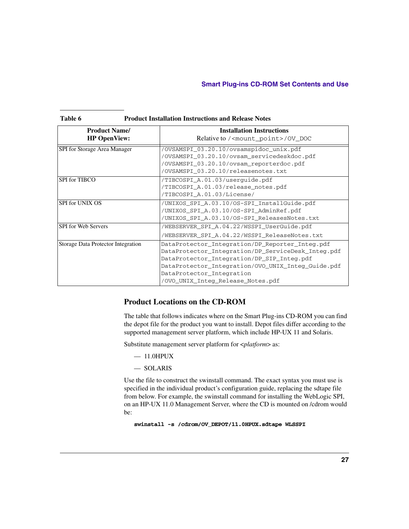### **Smart Plug-ins CD-ROM Set Contents and Use**

| <b>Product Name/</b>               | <b>Installation Instructions</b>                   |  |  |
|------------------------------------|----------------------------------------------------|--|--|
| <b>HP OpenView:</b>                | Relative to / <mount point="">/0V DOC</mount>      |  |  |
| SPI for Storage Area Manager       | /OVSAMSPI_03.20.10/ovsamspidoc_unix.pdf            |  |  |
|                                    | /OVSAMSPI_03.20.10/ovsam_servicedeskdoc.pdf        |  |  |
|                                    | /OVSAMSPI_03.20.10/ovsam_reporterdoc.pdf           |  |  |
|                                    | /OVSAMSPI 03.20.10/releasenotes.txt                |  |  |
| <b>SPI</b> for TIBCO               | /TIBCOSPI A.01.03/userquide.pdf                    |  |  |
|                                    | /TIBCOSPI_A.01.03/release_notes.pdf                |  |  |
|                                    | /TIBCOSPI A.01.03/License/                         |  |  |
| SPI for UNIX OS                    | /UNIXOS SPI A.03.10/OS-SPI InstallGuide.pdf        |  |  |
|                                    | /UNIXOS_SPI_A.03.10/OS-SPI_AdminRef.pdf            |  |  |
|                                    | /UNIXOS_SPI_A.03.10/OS-SPI_ReleasesNotes.txt       |  |  |
| <b>SPI</b> for Web Servers         | /WEBSERVER SPI A.04.22/WSSPI UserGuide.pdf         |  |  |
|                                    | /WEBSERVER SPI A.04.22/WSSPI ReleaseNotes.txt      |  |  |
| Storage Data Protector Integration | DataProtector_Integration/DP_Reporter_Integ.pdf    |  |  |
|                                    | DataProtector_Integration/DP_ServiceDesk_Integ.pdf |  |  |
|                                    | DataProtector_Integration/DP_SIP_Integ.pdf         |  |  |
|                                    | DataProtector_Integration/OVO_UNIX_Integ_Guide.pdf |  |  |
|                                    | DataProtector_Integration                          |  |  |
|                                    | /OVO_UNIX_Integ_Release_Notes.pdf                  |  |  |

### **Table 6 Product Installation Instructions and Release Notes**

### **Product Locations on the CD-ROM**

The table that follows indicates where on the Smart Plug-ins CD-ROM you can find the depot file for the product you want to install. Depot files differ according to the supported management server platform, which include HP-UX 11 and Solaris.

Substitute management server platform for <*platform*> as:

- $-11.0$ HPUX
- SOLARIS

Use the file to construct the swinstall command. The exact syntax you must use is specified in the individual product's configuration guide, replacing the sdtape file from below. For example, the swinstall command for installing the WebLogic SPI, on an HP-UX 11.0 Management Server, where the CD is mounted on /cdrom would be:

**swinstall -s /cdrom/OV\_DEPOT/11.0HPUX.sdtape WLSSPI**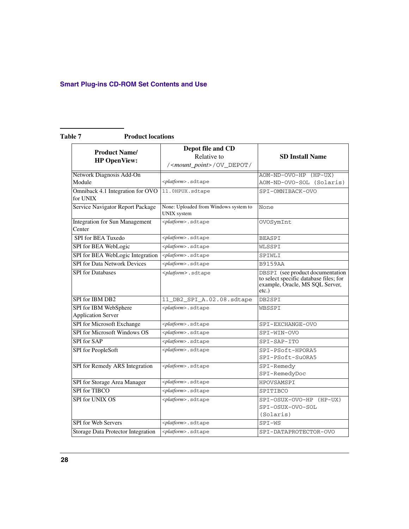### <span id="page-27-0"></span>Table 7 **Product locations**

| <b>Product Name/</b><br><b>HP OpenView:</b>        | Depot file and CD<br>Relative to<br>/ <mount_point>/OV_DEPOT/</mount_point> | <b>SD Install Name</b>                                                                                                    |
|----------------------------------------------------|-----------------------------------------------------------------------------|---------------------------------------------------------------------------------------------------------------------------|
| Network Diagnosis Add-On<br>Module                 | <platform>.sdtape</platform>                                                | AOM-ND-OVO-HP (HP-UX)<br>AOM-ND-OVO-SOL (Solaris)                                                                         |
| Omniback 4.1 Integration for OVO<br>for UNIX       | 11.0HPUX.sdtape                                                             | SPI-OMNIBACK-OVO                                                                                                          |
| Service Navigator Report Package                   | None: Uploaded from Windows system to<br><b>UNIX</b> system                 | None                                                                                                                      |
| <b>Integration for Sun Management</b><br>Center    | <platform>.sdtape</platform>                                                | OVOSymInt                                                                                                                 |
| SPI for BEA Tuxedo                                 | <platform>.sdtape</platform>                                                | <b>BEASPI</b>                                                                                                             |
| SPI for BEA WebLogic                               | <platform>.sdtape</platform>                                                | WLSSPI                                                                                                                    |
| SPI for BEA WebLogic Integration                   | <platform>.sdtape</platform>                                                | SPIWLI                                                                                                                    |
| <b>SPI</b> for Data Network Devices                | <platform>.sdtape</platform>                                                | <b>B9159AA</b>                                                                                                            |
| <b>SPI</b> for Databases                           | <platform>.sdtape</platform>                                                | DBSPI (see product documentation<br>to select specific database files; for<br>example, Oracle, MS SQL Server,<br>$etc.$ ) |
| SPI for IBM DB2                                    | 11_DB2_SPI_A.02.08.sdtape                                                   | DB2SPI                                                                                                                    |
| SPI for IBM WebSphere<br><b>Application Server</b> | <platform>.sdtape</platform>                                                | WBSSPI                                                                                                                    |
| SPI for Microsoft Exchange                         | <platform>.sdtape</platform>                                                | SPI-EXCHANGE-OVO                                                                                                          |
| SPI for Microsoft Windows OS                       | <platform>.sdtape</platform>                                                | SPI-WIN-OVO                                                                                                               |
| SPI for SAP                                        | <platform>.sdtape</platform>                                                | SPI-SAP-ITO                                                                                                               |
| SPI for PeopleSoft                                 | <platform>.sdtape</platform>                                                | SPI-PSoft-HPORA5<br>SPI-PSoft-SuORA5                                                                                      |
| SPI for Remedy ARS Integration                     | <platform>.sdtape</platform>                                                | SPI-Remedy<br>SPI-RemedyDoc                                                                                               |
| SPI for Storage Area Manager                       | <platform>.sdtape</platform>                                                | HPOVSAMSPI                                                                                                                |
| <b>SPI</b> for TIBCO                               | <platform>.sdtape</platform>                                                | SPITIBCO                                                                                                                  |
| <b>SPI</b> for UNIX OS                             | <platform>.sdtape</platform>                                                | SPI-OSUX-OVO-HP (HP-UX)<br>SPI-OSUX-OVO-SOL<br>(Solaris)                                                                  |
| <b>SPI</b> for Web Servers                         | <platform>.sdtape</platform>                                                | SPI-WS                                                                                                                    |
| Storage Data Protector Integration                 | <platform>.sdtape</platform>                                                | SPI-DATAPROTECTOR-OVO                                                                                                     |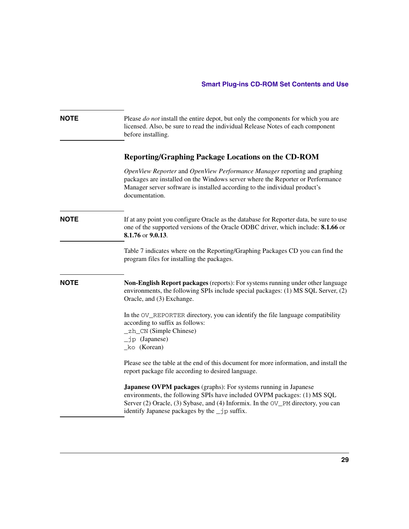**NOTE** Please *do not* install the entire depot, but only the components for which you are licensed. Also, be sure to read the individual Release Notes of each component before installing.

### **Reporting/Graphing Package Locations on the CD-ROM**

*OpenView Reporter* and *OpenView Performance Manager* reporting and graphing packages are installed on the Windows server where the Reporter or Performance Manager server software is installed according to the individual product's documentation.

### **NOTE** If at any point you configure Oracle as the database for Reporter data, be sure to use one of the supported versions of the Oracle ODBC driver, which include: **8.1.66** or **8.1.76** or **9.0.13**.

[Table 7](#page-27-0) indicates where on the Reporting/Graphing Packages CD you can find the program files for installing the packages.

**NOTE Non-English Report packages** (reports): For systems running under other language environments, the following SPIs include special packages: (1) MS SQL Server, (2) Oracle, and (3) Exchange.

> In the OV\_REPORTER directory, you can identify the file language compatibility according to suffix as follows:

- \_zh\_CN (Simple Chinese)
- \_jp (Japanese)
- \_ko (Korean)

Please see the table at the end of this document for more information, and install the report package file according to desired language.

**Japanese OVPM packages** (graphs): For systems running in Japanese environments, the following SPIs have included OVPM packages: (1) MS SQL Server (2) Oracle, (3) Sybase, and (4) Informix. In the OV\_PM directory, you can identify Japanese packages by the \_jp suffix.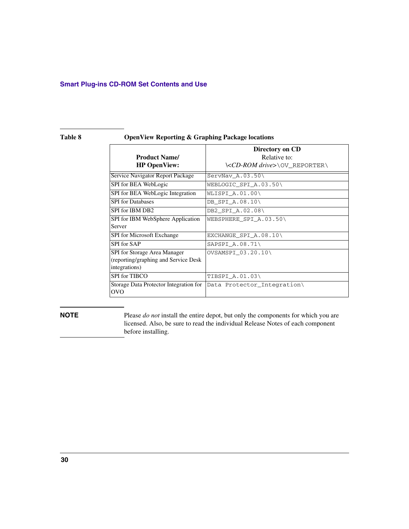### **Smart Plug-ins CD-ROM Set Contents and Use**

### <span id="page-29-0"></span>**Table 8 OpenView Reporting & Graphing Package locations**

| <b>Product Name/</b><br><b>HP</b> OpenView:                                            | Directory on CD<br>Relative to:<br>\ <cd-rom drive="">\OV_REPORTER\</cd-rom> |
|----------------------------------------------------------------------------------------|------------------------------------------------------------------------------|
| Service Navigator Report Package                                                       | $ServNav_A.03.50\backslash$                                                  |
| SPI for BEA WebLogic                                                                   | WEBLOGIC_SPI_A.03.50\                                                        |
| SPI for BEA WebLogic Integration                                                       | WLISPI A.01.00\                                                              |
| <b>SPI</b> for Databases                                                               | DB_SPI_A.08.10\                                                              |
| SPI for IBM DB2                                                                        | DB2 SPI A.02.08\                                                             |
| SPI for IBM WebSphere Application<br>Server                                            | WEBSPHERE SPI A.03.50\                                                       |
| SPI for Microsoft Exchange                                                             | EXCHANGE_SPI_A.08.10\                                                        |
| SPI for SAP                                                                            | SAPSPI A.08.71\                                                              |
| SPI for Storage Area Manager<br>(reporting/graphing and Service Desk)<br>integrations) | OVSAMSPI_03.20.10\                                                           |
| SPI for TIBCO                                                                          | TIBSPI A.01.03\                                                              |
| Storage Data Protector Integration for<br><b>OVO</b>                                   | Data Protector_Integration\                                                  |

**NOTE** Please *do not* install the entire depot, but only the components for which you are licensed. Also, be sure to read the individual Release Notes of each component before installing.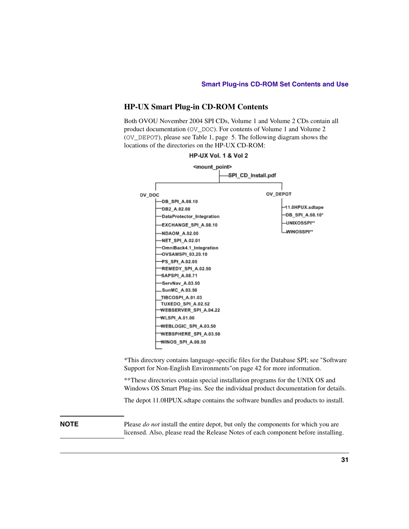### **HP-UX Smart Plug-in CD-ROM Contents**

Both OVOU November 2004 SPI CDs, Volume 1 and Volume 2 CDs contain all product documentation (OV\_DOC). For contents of Volume 1 and Volume 2 (OV\_DEPOT), please see [Table 1,](#page-4-0) [page 5.](#page-4-0) The following diagram shows the locations of the directories on the HP-UX CD-ROM:



\*This directory contains language-specific files for the Database SPI; see ["Software](#page-41-0)  [Support for Non-English Environments"on page 42](#page-41-0) for more information.

\*\*These directories contain special installation programs for the UNIX OS and Windows OS Smart Plug-ins. See the individual product documentation for details.

The depot 11.0HPUX.sdtape contains the software bundles and products to install.

**NOTE** Please *do not* install the entire depot, but only the components for which you are licensed. Also, please read the Release Notes of each component before installing.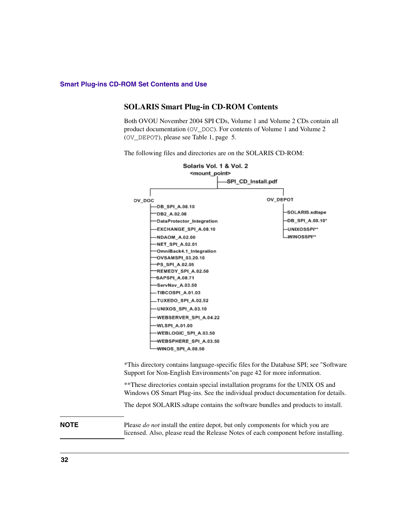### **SOLARIS Smart Plug-in CD-ROM Contents**

Both OVOU November 2004 SPI CDs, Volume 1 and Volume 2 CDs contain all product documentation (OV\_DOC). For contents of Volume 1 and Volume 2 (OV\_DEPOT), please see [Table 1,](#page-4-0) [page 5.](#page-4-0)

The following files and directories are on the SOLARIS CD-ROM:

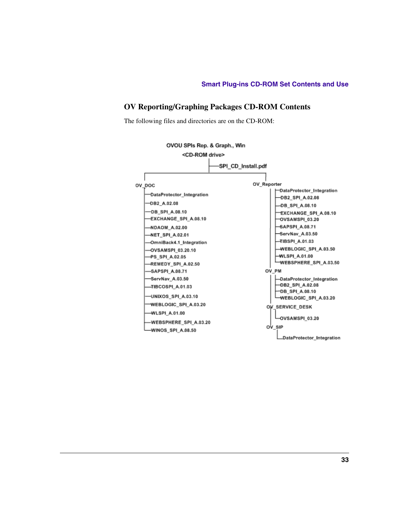### **OV Reporting/Graphing Packages CD-ROM Contents**

The following files and directories are on the CD-ROM:

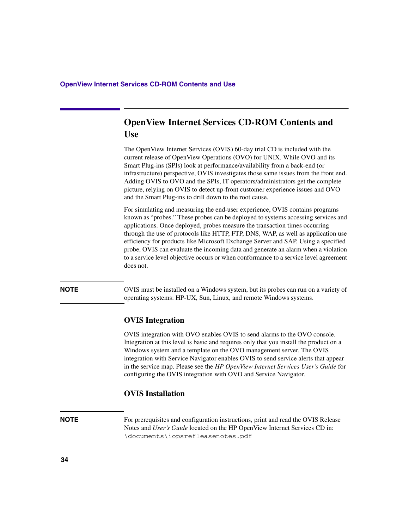# <span id="page-33-0"></span>**OpenView Internet Services CD-ROM Contents and Use**

The OpenView Internet Services (OVIS) 60-day trial CD is included with the current release of OpenView Operations (OVO) for UNIX. While OVO and its Smart Plug-ins (SPIs) look at performance/availability from a back-end (or infrastructure) perspective, OVIS investigates those same issues from the front end. Adding OVIS to OVO and the SPIs, IT operators/administrators get the complete picture, relying on OVIS to detect up-front customer experience issues and OVO and the Smart Plug-ins to drill down to the root cause.

For simulating and measuring the end-user experience, OVIS contains programs known as "probes." These probes can be deployed to systems accessing services and applications. Once deployed, probes measure the transaction times occurring through the use of protocols like HTTP, FTP, DNS, WAP, as well as application use efficiency for products like Microsoft Exchange Server and SAP. Using a specified probe, OVIS can evaluate the incoming data and generate an alarm when a violation to a service level objective occurs or when conformance to a service level agreement does not.

**NOTE** OVIS must be installed on a Windows system, but its probes can run on a variety of operating systems: HP-UX, Sun, Linux, and remote Windows systems.

### **OVIS Integration**

OVIS integration with OVO enables OVIS to send alarms to the OVO console. Integration at this level is basic and requires only that you install the product on a Windows system and a template on the OVO management server. The OVIS integration with Service Navigator enables OVIS to send service alerts that appear in the service map. Please see the *HP OpenView Internet Services User's Guide* for configuring the OVIS integration with OVO and Service Navigator.

### **OVIS Installation**

**NOTE** For prerequisites and configuration instructions, print and read the OVIS Release Notes and *User's Guide* located on the HP OpenView Internet Services CD in: \documents\iopsrefleasenotes.pdf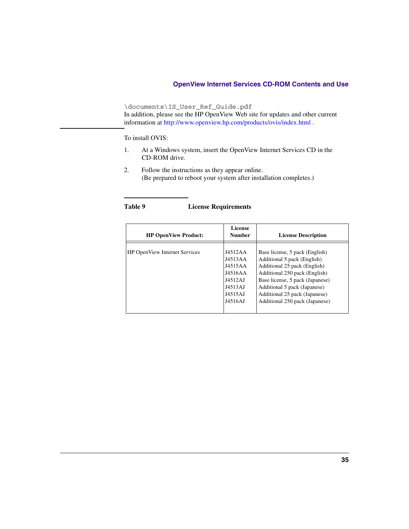### **OpenView Internet Services CD-ROM Contents and Use**

\documents\IS\_User\_Ref\_Guide.pdf In addition, please see the HP OpenView Web site for updates and other current information at http://www.openview.hp.com/products/ovis/index.html .

### To install OVIS:

- 1. At a Windows system, insert the OpenView Internet Services CD in the CD-ROM drive.
- 2. Follow the instructions as they appear online. (Be prepared to reboot your system after installation completes.)

| Table 9 |  | <b>License Requirements</b> |
|---------|--|-----------------------------|
|---------|--|-----------------------------|

| <b>HP OpenView Product:</b>          | License<br><b>Number</b>                                                             | <b>License Description</b>                                                                                                                                                                                                                                           |
|--------------------------------------|--------------------------------------------------------------------------------------|----------------------------------------------------------------------------------------------------------------------------------------------------------------------------------------------------------------------------------------------------------------------|
| <b>HP OpenView Internet Services</b> | J4512AA<br>J4513AA<br>J4515AA<br>J4516AA<br>J4512AJ<br>J4513AJ<br>J4515AJ<br>J4516AJ | Base license, 5 pack (English)<br>Additional 5 pack (English)<br>Additional 25 pack (English)<br>Additional 250 pack (English)<br>Base license, 5 pack (Japanese)<br>Additional 5 pack (Japanese)<br>Additional 25 pack (Japanese)<br>Additional 250 pack (Japanese) |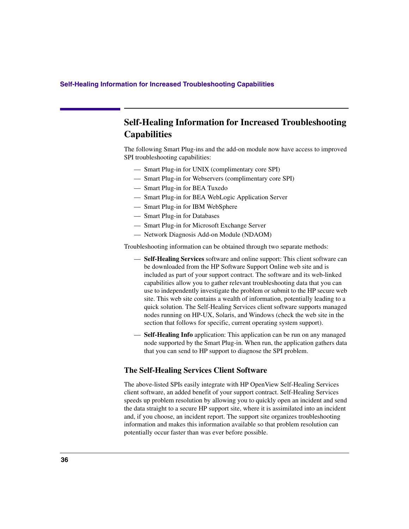# **Self-Healing Information for Increased Troubleshooting Capabilities**

The following Smart Plug-ins and the add-on module now have access to improved SPI troubleshooting capabilities:

- Smart Plug-in for UNIX (complimentary core SPI)
- Smart Plug-in for Webservers (complimentary core SPI)
- Smart Plug-in for BEA Tuxedo
- Smart Plug-in for BEA WebLogic Application Server
- Smart Plug-in for IBM WebSphere
- Smart Plug-in for Databases
- Smart Plug-in for Microsoft Exchange Server
- Network Diagnosis Add-on Module (NDAOM)

Troubleshooting information can be obtained through two separate methods:

- **Self-Healing Services** software and online support: This client software can be downloaded from the HP Software Support Online web site and is included as part of your support contract. The software and its web-linked capabilities allow you to gather relevant troubleshooting data that you can use to independently investigate the problem or submit to the HP secure web site. This web site contains a wealth of information, potentially leading to a quick solution. The Self-Healing Services client software supports managed nodes running on HP-UX, Solaris, and Windows (check the web site in the section that follows for specific, current operating system support).
- **Self-Healing Info** application: This application can be run on any managed node supported by the Smart Plug-in. When run, the application gathers data that you can send to HP support to diagnose the SPI problem.

### **The Self-Healing Services Client Software**

The above-listed SPIs easily integrate with HP OpenView Self-Healing Services client software, an added benefit of your support contract. Self-Healing Services speeds up problem resolution by allowing you to quickly open an incident and send the data straight to a secure HP support site, where it is assimilated into an incident and, if you choose, an incident report. The support site organizes troubleshooting information and makes this information available so that problem resolution can potentially occur faster than was ever before possible.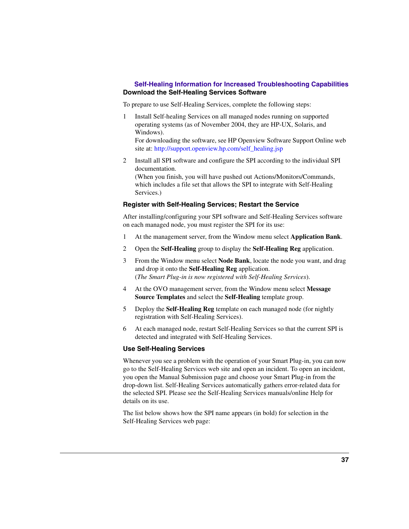### **Self-Healing Information for Increased Troubleshooting Capabilities Download the Self-Healing Services Software**

To prepare to use Self-Healing Services, complete the following steps:

1 Install Self-healing Services on all managed nodes running on supported operating systems (as of November 2004, they are HP-UX, Solaris, and Windows).

For downloading the software, see HP Openview Software Support Online web site at: http://support.openview.hp.com/self\_healing.jsp

2 Install all SPI software and configure the SPI according to the individual SPI documentation.

(When you finish, you will have pushed out Actions/Monitors/Commands, which includes a file set that allows the SPI to integrate with Self-Healing Services.)

### **Register with Self-Healing Services; Restart the Service**

After installing/configuring your SPI software and Self-Healing Services software on each managed node, you must register the SPI for its use:

- 1 At the management server, from the Window menu select **Application Bank**.
- 2 Open the **Self-Healing** group to display the **Self-Healing Reg** application.
- 3 From the Window menu select **Node Bank**, locate the node you want, and drag and drop it onto the **Self-Healing Reg** application. (*The Smart Plug-in is now registered with Self-Healing Services*).
- 4 At the OVO management server, from the Window menu select **Message Source Templates** and select the **Self-Healing** template group.
- 5 Deploy the **Self-Healing Reg** template on each managed node (for nightly registration with Self-Healing Services).
- 6 At each managed node, restart Self-Healing Services so that the current SPI is detected and integrated with Self-Healing Services.

### **Use Self-Healing Services**

Whenever you see a problem with the operation of your Smart Plug-in, you can now go to the Self-Healing Services web site and open an incident. To open an incident, you open the Manual Submission page and choose your Smart Plug-in from the drop-down list. Self-Healing Services automatically gathers error-related data for the selected SPI. Please see the Self-Healing Services manuals/online Help for details on its use.

The list below shows how the SPI name appears (in bold) for selection in the Self-Healing Services web page: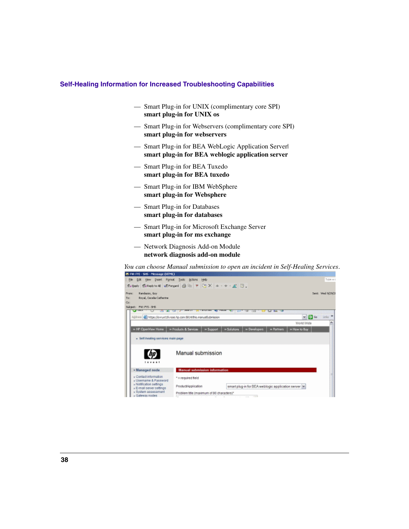### **Self-Healing Information for Increased Troubleshooting Capabilities**

- Smart Plug-in for UNIX (complimentary core SPI) **smart plug-in for UNIX os**
- Smart Plug-in for Webservers (complimentary core SPI) **smart plug-in for webservers**
- Smart Plug-in for BEA WebLogic Application Server| **smart plug-in for BEA weblogic application server**
- Smart Plug-in for BEA Tuxedo **smart plug-in for BEA tuxedo**
- Smart Plug-in for IBM WebSphere **smart plug-in for Websphere**
- Smart Plug-in for Databases **smart plug-in for databases**
- Smart Plug-in for Microsoft Exchange Server **smart plug-in for ms exchange**
- Network Diagnosis Add-on Module **network diagnosis add-on module**

*You can choose Manual submission to open an incident in Self-Healing Services*.

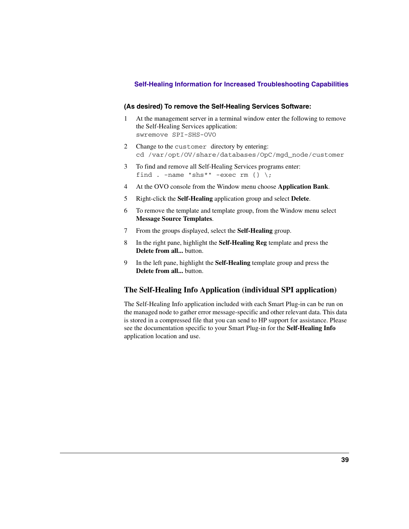### **Self-Healing Information for Increased Troubleshooting Capabilities**

### **(As desired) To remove the Self-Healing Services Software:**

- 1 At the management server in a terminal window enter the following to remove the Self-Healing Services application: swremove SPI-SHS-OVO
- 2 Change to the customer directory by entering: cd /var/opt/OV/share/databases/OpC/mgd\_node/customer
- 3 To find and remove all Self-Healing Services programs enter: find . -name "shs\*" -exec rm  $\{\} \setminus$ ;
- 4 At the OVO console from the Window menu choose **Application Bank**.
- 5 Right-click the **Self-Healing** application group and select **Delete**.
- 6 To remove the template and template group, from the Window menu select **Message Source Templates**.
- 7 From the groups displayed, select the **Self-Healing** group.
- 8 In the right pane, highlight the **Self-Healing Reg** template and press the **Delete from all...** button.
- 9 In the left pane, highlight the **Self-Healing** template group and press the **Delete from all...** button.

### **The Self-Healing Info Application (individual SPI application)**

The Self-Healing Info application included with each Smart Plug-in can be run on the managed node to gather error message-specific and other relevant data. This data is stored in a compressed file that you can send to HP support for assistance. Please see the documentation specific to your Smart Plug-in for the **Self-Healing Info** application location and use.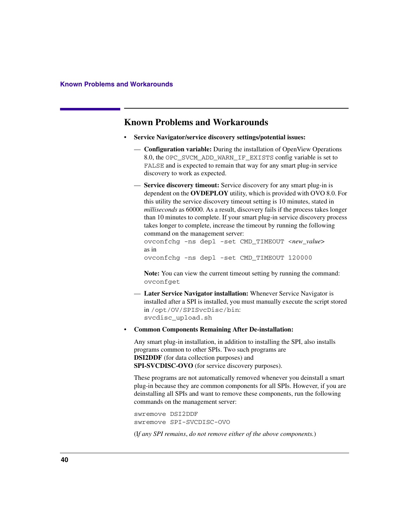# **Known Problems and Workarounds**

- **Service Navigator/service discovery settings/potential issues:** 
	- **Configuration variable:** During the installation of OpenView Operations 8.0, the OPC SVCM\_ADD\_WARN\_IF\_EXISTS config variable is set to FALSE and is expected to remain that way for any smart plug-in service discovery to work as expected.
	- **Service discovery timeout:** Service discovery for any smart plug-in is dependent on the **OVDEPLOY** utility, which is provided with OVO 8.0. For this utility the service discovery timeout setting is 10 minutes, stated in *milliseconds* as 60000. As a result, discovery fails if the process takes longer than 10 minutes to complete. If your smart plug-in service discovery process takes longer to complete, increase the timeout by running the following command on the management server:

ovconfchg -ns depl -set CMD\_TIMEOUT <*new\_value*> as in ovconfchg -ns depl -set CMD\_TIMEOUT 120000

**Note:** You can view the current timeout setting by running the command: ovconfget

- **Later Service Navigator installation:** Whenever Service Navigator is installed after a SPI is installed, you must manually execute the script stored in /opt/OV/SPISvcDisc/bin: svcdisc\_upload.sh
- **Common Components Remaining After De-installation:**

Any smart plug-in installation, in addition to installing the SPI, also installs programs common to other SPIs. Two such programs are **DSI2DDF** (for data collection purposes) and **SPI-SVCDISC-OVO** (for service discovery purposes).

These programs are not automatically removed whenever you deinstall a smart plug-in because they are common components for all SPIs. However, if you are deinstalling all SPIs and want to remove these components, run the following commands on the management server:

swremove DSI2DDF swremove SPI-SVCDISC-OVO

(I*f any SPI remains*, *do not remove either of the above components.*)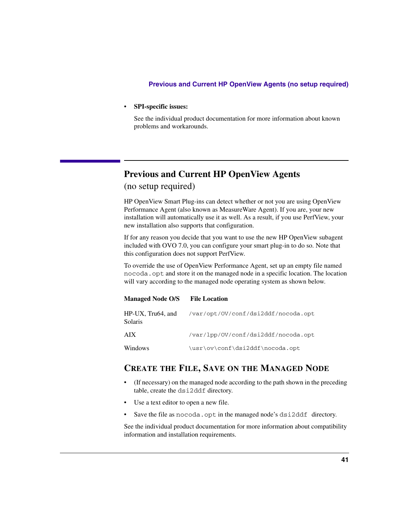### • **SPI-specific issues:**

See the individual product documentation for more information about known problems and workarounds.

# **Previous and Current HP OpenView Agents**

(no setup required)

HP OpenView Smart Plug-ins can detect whether or not you are using OpenView Performance Agent (also known as MeasureWare Agent). If you are, your new installation will automatically use it as well. As a result, if you use PerfView, your new installation also supports that configuration.

If for any reason you decide that you want to use the new HP OpenView subagent included with OVO 7.0, you can configure your smart plug-in to do so. Note that this configuration does not support PerfView.

To override the use of OpenView Performance Agent, set up an empty file named nocoda.opt and store it on the managed node in a specific location. The location will vary according to the managed node operating system as shown below.

### **Managed Node O/S File Location**

| HP-UX, Tru64, and<br>Solaris | /var/opt/OV/conf/dsi2ddf/nocoda.opt |
|------------------------------|-------------------------------------|
| AIX <sup></sup>              | /var/lpp/0V/conf/dsi2ddf/nocoda.opt |
| Windows                      | \usr\ov\conf\dsi2ddf\nocoda.opt     |

## **CREATE THE FILE, SAVE ON THE MANAGED NODE**

- (If necessary) on the managed node according to the path shown in the preceding table, create the dsi2ddf directory.
- Use a text editor to open a new file.
- Save the file as nocoda.opt in the managed node's dsi2ddf directory.

See the individual product documentation for more information about compatibility information and installation requirements.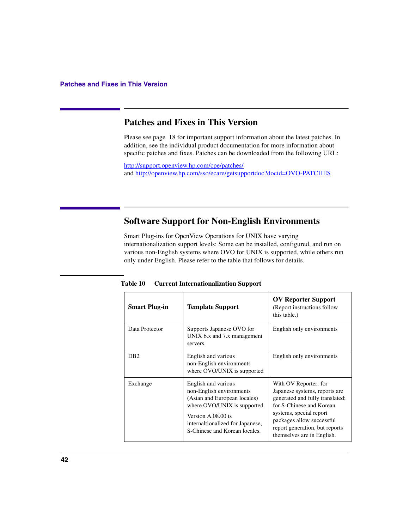# **Patches and Fixes in This Version**

Please see [page 18](#page-17-0) for important support information about the latest patches. In addition, see the individual product documentation for more information about specific patches and fixes. Patches can be downloaded from the following URL:

http://support.openview.hp.com/cpe/patches/ and http://openview.hp.com/sso/ecare/getsupportdoc?docid=OVO-PATCHES

# <span id="page-41-0"></span>**Software Support for Non-English Environments**

Smart Plug-ins for OpenView Operations for UNIX have varying internationalization support levels: Some can be installed, configured, and run on various non-English systems where OVO for UNIX is supported, while others run only under English. Please refer to the table that follows for details.

| <b>Smart Plug-in</b> | <b>Template Support</b>                                                                                                                                                                                    | <b>OV Reporter Support</b><br>(Report instructions follow<br>this table.)                                                                                                                                                                     |
|----------------------|------------------------------------------------------------------------------------------------------------------------------------------------------------------------------------------------------------|-----------------------------------------------------------------------------------------------------------------------------------------------------------------------------------------------------------------------------------------------|
| Data Protector       | Supports Japanese OVO for<br>UNIX 6.x and 7.x management<br>servers.                                                                                                                                       | English only environments                                                                                                                                                                                                                     |
| D <sub>B</sub> 2     | English and various<br>non-English environments<br>where OVO/UNIX is supported                                                                                                                             | English only environments                                                                                                                                                                                                                     |
| Exchange             | English and various<br>non-English environments<br>(Asian and European locales)<br>where OVO/UNIX is supported.<br>Version A.08.00 is<br>internaltionalized for Japanese,<br>S-Chinese and Korean locales. | With OV Reporter: for<br>Japanese systems, reports are<br>generated and fully translated;<br>for S-Chinese and Korean<br>systems, special report<br>packages allow successful<br>report generation, but reports<br>themselves are in English. |

**Table 10 Current Internationalization Support**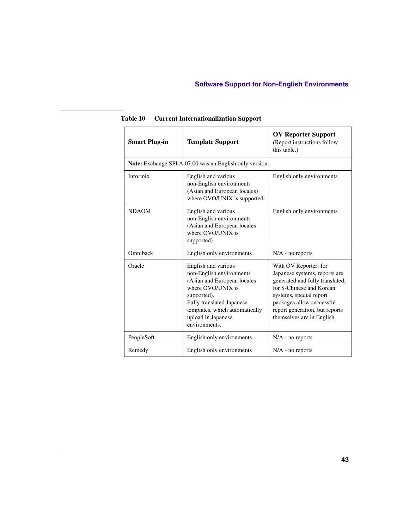| <b>Smart Plug-in</b>                                    | <b>Template Support</b>                                                                                                                                                                                                  | <b>OV Reporter Support</b><br>(Report instructions follow<br>this table.)                                                                                                                                                                     |  |
|---------------------------------------------------------|--------------------------------------------------------------------------------------------------------------------------------------------------------------------------------------------------------------------------|-----------------------------------------------------------------------------------------------------------------------------------------------------------------------------------------------------------------------------------------------|--|
| Note: Exchange SPI A.07.00 was an English only version. |                                                                                                                                                                                                                          |                                                                                                                                                                                                                                               |  |
| Informix                                                | English and various<br>non-English environments<br>(Asian and European locales)<br>where OVO/UNIX is supported.                                                                                                          | English only environments                                                                                                                                                                                                                     |  |
| <b>NDAOM</b>                                            | English and various<br>non-English environments<br>(Asian and European locales<br>where OVO/UNIX is<br>supported)                                                                                                        | English only environments                                                                                                                                                                                                                     |  |
| Omniback                                                | English only environments                                                                                                                                                                                                | $N/A$ - no reports                                                                                                                                                                                                                            |  |
| Oracle                                                  | English and various<br>non-English environments<br>(Asian and European locales<br>where OVO/UNIX is<br>supported).<br>Fully translated Japanese<br>templates, which automatically<br>upload in Japanese<br>environments. | With OV Reporter: for<br>Japanese systems, reports are<br>generated and fully translated;<br>for S-Chinese and Korean<br>systems, special report<br>packages allow successful<br>report generation, but reports<br>themselves are in English. |  |
| PeopleSoft                                              | English only environments                                                                                                                                                                                                | $N/A$ - no reports                                                                                                                                                                                                                            |  |
| Remedy                                                  | English only environments                                                                                                                                                                                                | $N/A$ - no reports                                                                                                                                                                                                                            |  |

**Table 10 Current Internationalization Support**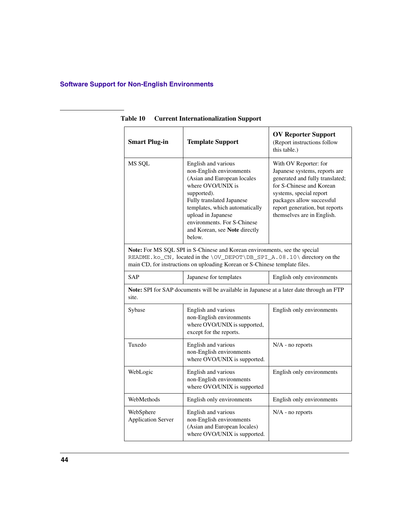| <b>Smart Plug-in</b>                                                                                                                                                                                                                | <b>Template Support</b>                                                                                                                                                                                                                                                           | <b>OV Reporter Support</b><br>(Report instructions follow<br>this table.)                                                                                                                                                                     |  |  |
|-------------------------------------------------------------------------------------------------------------------------------------------------------------------------------------------------------------------------------------|-----------------------------------------------------------------------------------------------------------------------------------------------------------------------------------------------------------------------------------------------------------------------------------|-----------------------------------------------------------------------------------------------------------------------------------------------------------------------------------------------------------------------------------------------|--|--|
| MS SQL                                                                                                                                                                                                                              | English and various<br>non-English environments<br>(Asian and European locales<br>where OVO/UNIX is<br>supported).<br>Fully translated Japanese<br>templates, which automatically<br>upload in Japanese<br>environments. For S-Chinese<br>and Korean, see Note directly<br>below. | With OV Reporter: for<br>Japanese systems, reports are<br>generated and fully translated;<br>for S-Chinese and Korean<br>systems, special report<br>packages allow successful<br>report generation, but reports<br>themselves are in English. |  |  |
| Note: For MS SQL SPI in S-Chinese and Korean environments, see the special<br>README.ko_CN, located in the \OV_DEPOT\DB_SPI_A.08.10\ directory on the<br>main CD, for instructions on uploading Korean or S-Chinese template files. |                                                                                                                                                                                                                                                                                   |                                                                                                                                                                                                                                               |  |  |
| <b>SAP</b>                                                                                                                                                                                                                          | Japanese for templates                                                                                                                                                                                                                                                            | English only environments                                                                                                                                                                                                                     |  |  |
| Note: SPI for SAP documents will be available in Japanese at a later date through an FTP<br>site.                                                                                                                                   |                                                                                                                                                                                                                                                                                   |                                                                                                                                                                                                                                               |  |  |
| Sybase                                                                                                                                                                                                                              | English and various<br>non-English environments<br>where OVO/UNIX is supported,<br>except for the reports.                                                                                                                                                                        | English only environments                                                                                                                                                                                                                     |  |  |
| Tuxedo                                                                                                                                                                                                                              | English and various<br>non-English environments<br>where OVO/UNIX is supported.                                                                                                                                                                                                   | N/A - no reports                                                                                                                                                                                                                              |  |  |
| WebLogic                                                                                                                                                                                                                            | English and various<br>non-English environments<br>where OVO/UNIX is supported                                                                                                                                                                                                    | English only environments                                                                                                                                                                                                                     |  |  |
| WebMethods                                                                                                                                                                                                                          | English only environments                                                                                                                                                                                                                                                         | English only environments                                                                                                                                                                                                                     |  |  |
| WebSphere<br><b>Application Server</b>                                                                                                                                                                                              | English and various<br>non-English environments<br>(Asian and European locales)<br>where OVO/UNIX is supported.                                                                                                                                                                   | $N/A$ - no reports                                                                                                                                                                                                                            |  |  |

**Table 10 Current Internationalization Support**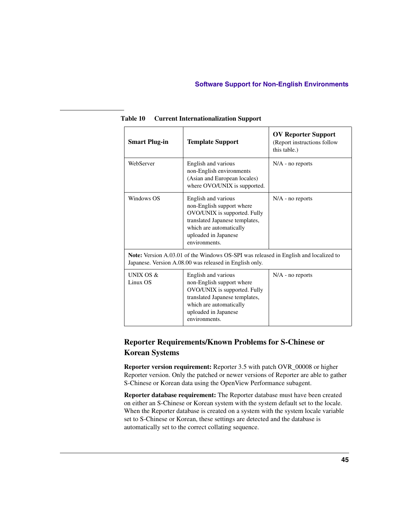| <b>Smart Plug-in</b>                                                                                                                            | <b>Template Support</b>                                                                                                                                                                | <b>OV Reporter Support</b><br>(Report instructions follow<br>this table.) |  |  |
|-------------------------------------------------------------------------------------------------------------------------------------------------|----------------------------------------------------------------------------------------------------------------------------------------------------------------------------------------|---------------------------------------------------------------------------|--|--|
| WebServer                                                                                                                                       | English and various<br>non-English environments<br>(Asian and European locales)<br>where OVO/UNIX is supported.                                                                        | $N/A$ - no reports                                                        |  |  |
| Windows OS                                                                                                                                      | English and various<br>non-English support where<br>OVO/UNIX is supported. Fully<br>translated Japanese templates,<br>which are automatically<br>uploaded in Japanese<br>environments. | $N/A$ - no reports                                                        |  |  |
| Note: Version A.03.01 of the Windows OS-SPI was released in English and localized to<br>Japanese. Version A.08.00 was released in English only. |                                                                                                                                                                                        |                                                                           |  |  |
| UNIX OS $&$<br>Linux OS                                                                                                                         | English and various<br>non-English support where<br>OVO/UNIX is supported. Fully<br>translated Japanese templates,<br>which are automatically<br>uploaded in Japanese<br>environments. | $N/A$ - no reports                                                        |  |  |

**Table 10 Current Internationalization Support**

# **Reporter Requirements/Known Problems for S-Chinese or Korean Systems**

**Reporter version requirement:** Reporter 3.5 with patch OVR\_00008 or higher Reporter version. Only the patched or newer versions of Reporter are able to gather S-Chinese or Korean data using the OpenView Performance subagent.

**Reporter database requirement:** The Reporter database must have been created on either an S-Chinese or Korean system with the system default set to the locale. When the Reporter database is created on a system with the system locale variable set to S-Chinese or Korean, these settings are detected and the database is automatically set to the correct collating sequence.